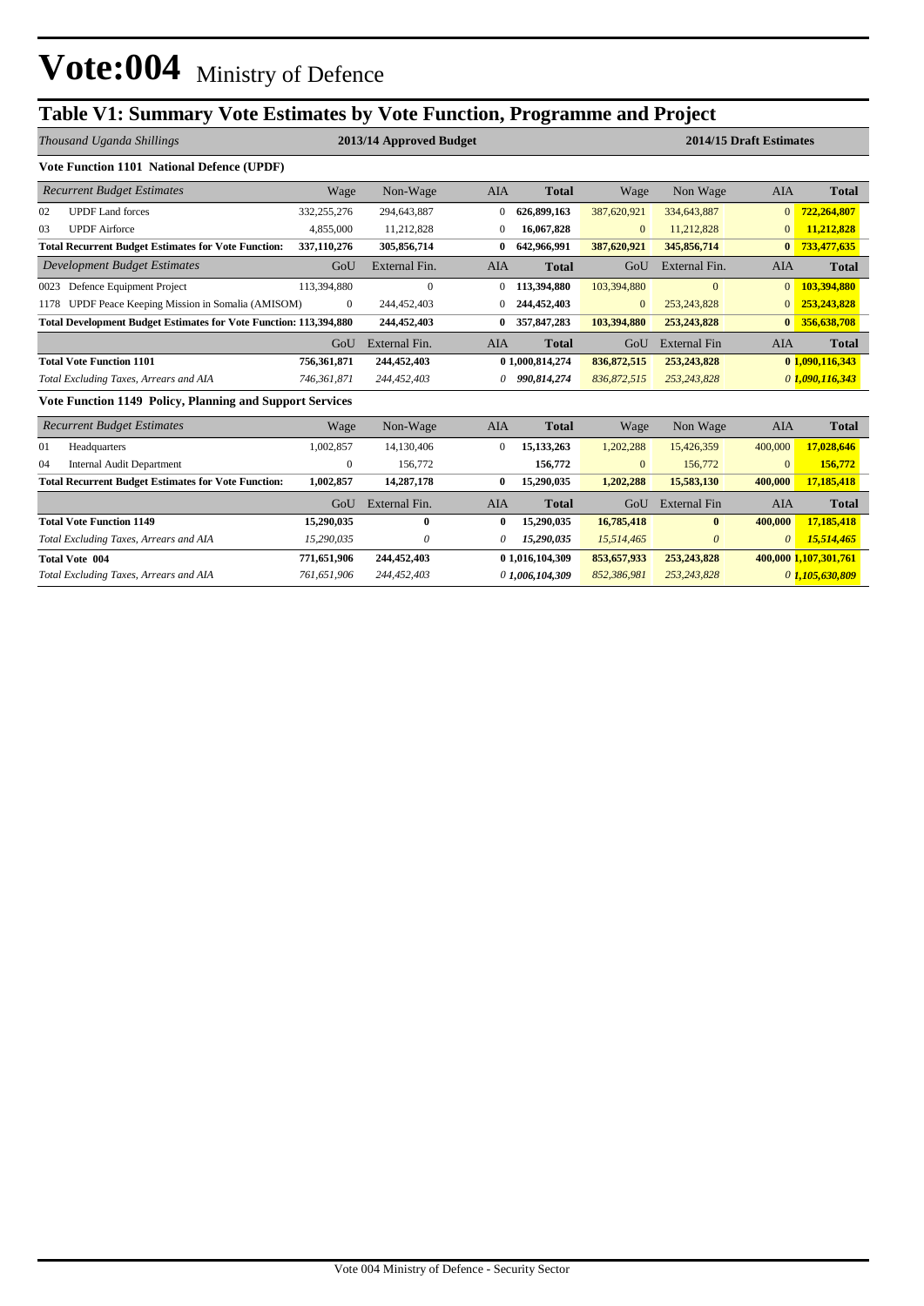## **Table V1: Summary Vote Estimates by Vote Function, Programme and Project**

|      | Thousand Uganda Shillings                                                |                  | 2013/14 Approved Budget |              |                 |               | 2014/15 Draft Estimates |                |                       |  |
|------|--------------------------------------------------------------------------|------------------|-------------------------|--------------|-----------------|---------------|-------------------------|----------------|-----------------------|--|
|      | <b>Vote Function 1101 National Defence (UPDF)</b>                        |                  |                         |              |                 |               |                         |                |                       |  |
|      | <b>Recurrent Budget Estimates</b>                                        | Wage             | Non-Wage                | AIA          | <b>Total</b>    | Wage          | Non Wage                | <b>AIA</b>     | <b>Total</b>          |  |
| 02   | <b>UPDF</b> Land forces                                                  | 332,255,276      | 294,643,887             | 0            | 626.899.163     | 387,620,921   | 334,643,887             | $\mathbf{0}$   | 722,264,807           |  |
| 03   | <b>UPDF</b> Airforce                                                     | 4,855,000        | 11,212,828              | $\Omega$     | 16,067,828      | $\mathbf{0}$  | 11,212,828              | $\mathbf{0}$   | 11,212,828            |  |
|      | <b>Total Recurrent Budget Estimates for Vote Function:</b>               | 337,110,276      | 305,856,714             | $\bf{0}$     | 642,966,991     | 387,620,921   | 345,856,714             | $\bf{0}$       | 733,477,635           |  |
|      | <b>Development Budget Estimates</b>                                      | GoU              | External Fin.           | <b>AIA</b>   | <b>Total</b>    | GoU           | External Fin.           | <b>AIA</b>     | <b>Total</b>          |  |
| 0023 | Defence Equipment Project                                                | 113,394,880      | $\mathbf{0}$            | $\mathbf{0}$ | 113,394,880     | 103,394,880   | $\mathbf{0}$            | $\overline{0}$ | 103,394,880           |  |
|      | 1178 UPDF Peace Keeping Mission in Somalia (AMISOM)<br>$\mathbf{0}$      |                  | 244,452,403             |              | 244,452,403     | $\mathbf{0}$  | 253, 243, 828           |                | 253,243,828           |  |
|      | <b>Total Development Budget Estimates for Vote Function: 113,394,880</b> |                  | 244,452,403             | $\bf{0}$     | 357,847,283     | 103,394,880   | 253,243,828             | $\bf{0}$       | 356,638,708           |  |
|      |                                                                          | GoU              | External Fin.           | <b>AIA</b>   | <b>Total</b>    | GoU           | <b>External Fin</b>     | <b>AIA</b>     | <b>Total</b>          |  |
|      | <b>Total Vote Function 1101</b>                                          | 756,361,871      | 244,452,403             |              | 0 1,000,814,274 | 836, 872, 515 | 253, 243, 828           |                | 0 1,090,116,343       |  |
|      | Total Excluding Taxes, Arrears and AIA                                   | 746,361,871      | 244,452,403             | 0            | 990,814,274     | 836,872,515   | 253, 243, 828           |                | 0, 1,090, 116, 343    |  |
|      | Vote Function 1149 Policy, Planning and Support Services                 |                  |                         |              |                 |               |                         |                |                       |  |
|      | <b>Recurrent Budget Estimates</b>                                        | Wage             | Non-Wage                | AIA          | <b>Total</b>    | Wage          | Non Wage                | <b>AIA</b>     | <b>Total</b>          |  |
| 01   | Headquarters                                                             | 1,002,857        | 14,130,406              | $\theta$     | 15, 133, 263    | 1,202,288     | 15,426,359              | 400,000        | 17,028,646            |  |
| 04   | <b>Internal Audit Department</b>                                         | $\boldsymbol{0}$ | 156,772                 |              | 156,772         | $\mathbf{0}$  | 156,772                 | $\mathbf{0}$   | 156,772               |  |
|      | <b>Total Recurrent Budget Estimates for Vote Function:</b>               | 1,002,857        | 14,287,178              | $\bf{0}$     | 15,290,035      | 1,202,288     | 15,583,130              | 400,000        | 17,185,418            |  |
|      |                                                                          | GoU              | External Fin.           | <b>AIA</b>   | <b>Total</b>    | GoU           | <b>External Fin</b>     | <b>AIA</b>     | <b>Total</b>          |  |
|      | <b>Total Vote Function 1149</b>                                          | 15,290,035       | 0                       | $\mathbf{0}$ | 15,290,035      | 16,785,418    | $\mathbf{0}$            | 400,000        | 17,185,418            |  |
|      | Total Excluding Taxes, Arrears and AIA                                   | 15,290,035       | 0                       | 0            | 15,290,035      | 15,514,465    | $\theta$                | $\theta$       | 15,514,465            |  |
|      | <b>Total Vote 004</b>                                                    | 771,651,906      | 244,452,403             |              | 0 1,016,104,309 | 853,657,933   | 253, 243, 828           |                | 400,000 1,107,301,761 |  |
|      | Total Excluding Taxes, Arrears and AIA                                   | 761,651,906      | 244,452,403             |              | 0 1,006,104,309 | 852,386,981   | 253, 243, 828           |                | 0 1,105,630,809       |  |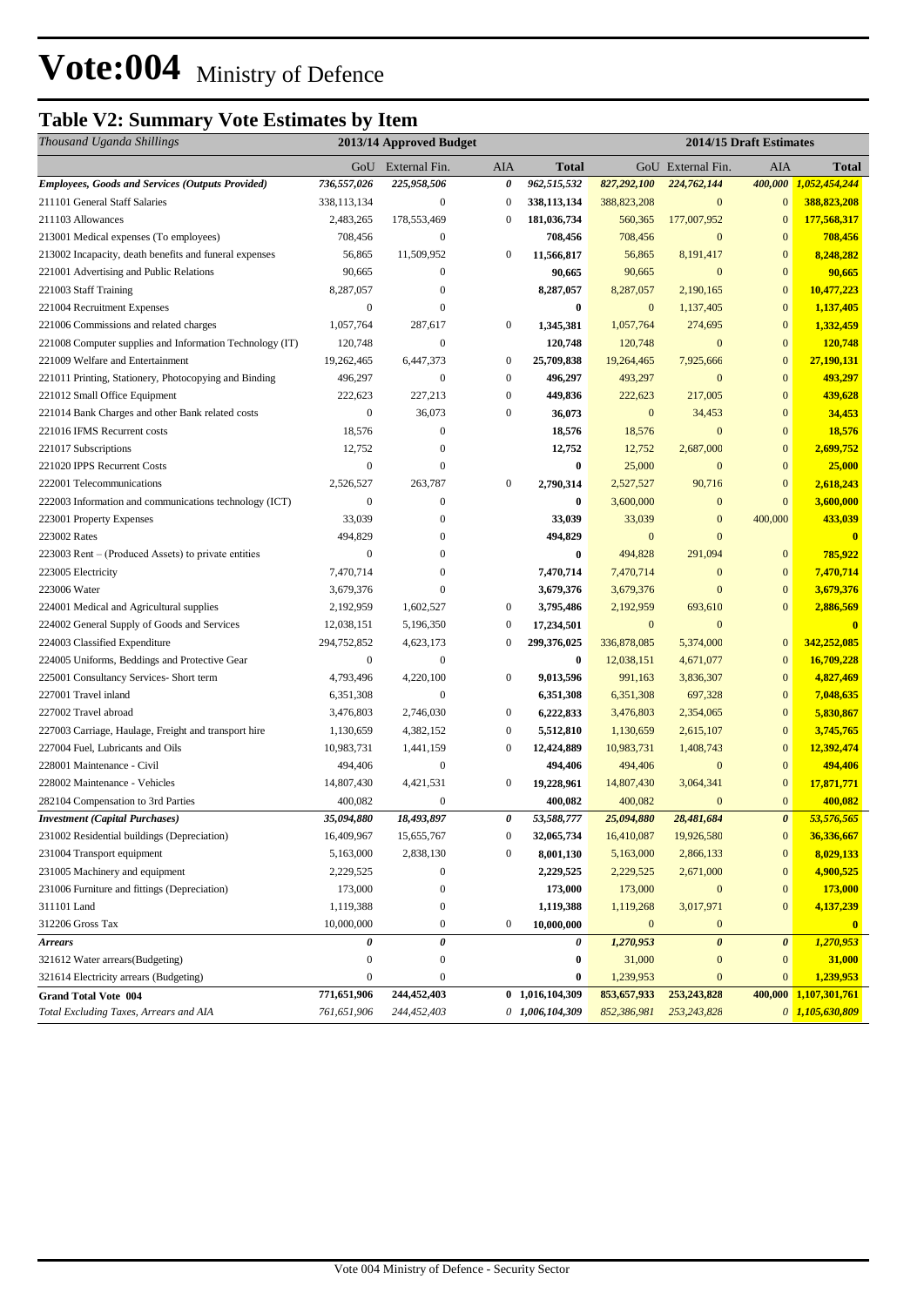## **Table V2: Summary Vote Estimates by Item**

| GoU External Fin.<br>AIA<br>GoU External Fin.<br>AIA<br><b>Total</b><br><b>Total</b><br>962,515,532<br>Employees, Goods and Services (Outputs Provided)<br>736,557,026<br>225,958,506<br>0<br>827,292,100<br>224,762,144<br>400,000<br>1,052,454,244<br>211101 General Staff Salaries<br>338,113,134<br>$\boldsymbol{0}$<br>388, 823, 208<br>$\mathbf{0}$<br>388,823,208<br>$\boldsymbol{0}$<br>338,113,134<br>$\mathbf{0}$<br>181,036,734<br>560,365<br>177,007,952<br>177,568,317<br>211103 Allowances<br>2,483,265<br>178,553,469<br>$\boldsymbol{0}$<br>$\mathbf{0}$<br>213001 Medical expenses (To employees)<br>708,456<br>$\boldsymbol{0}$<br>708,456<br>$\mathbf{0}$<br>$\mathbf{0}$<br>708,456<br>708,456<br>213002 Incapacity, death benefits and funeral expenses<br>56,865<br>$\boldsymbol{0}$<br>11,566,817<br>56,865<br>$\mathbf{0}$<br>8,248,282<br>11,509,952<br>8,191,417<br>90,665<br>90,665<br>90,665<br>$\mathbf{0}$<br>$\mathbf{0}$<br>90,665<br>221001 Advertising and Public Relations<br>$\mathbf{0}$<br>8,287,057<br>$\mathbf{0}$<br>10,477,223<br>221003 Staff Training<br>8,287,057<br>$\boldsymbol{0}$<br>8,287,057<br>2,190,165<br>$\boldsymbol{0}$<br>$\mathbf{0}$<br>221004 Recruitment Expenses<br>$\mathbf{0}$<br>$\bf{0}$<br>$\mathbf{0}$<br>1,137,405<br>1,137,405<br>221006 Commissions and related charges<br>1,057,764<br>287,617<br>$\boldsymbol{0}$<br>1,345,381<br>1,057,764<br>$\mathbf{0}$<br>1,332,459<br>274,695<br>$\boldsymbol{0}$<br>$\mathbf{0}$<br>$\mathbf{0}$<br>120,748<br>221008 Computer supplies and Information Technology (IT)<br>120,748<br>120,748<br>120,748<br>19,262,465<br>6,447,373<br>$\boldsymbol{0}$<br>7,925,666<br>$\mathbf{0}$<br>221009 Welfare and Entertainment<br>25,709,838<br>19,264,465<br>27,190,131<br>496,297<br>$\boldsymbol{0}$<br>$\boldsymbol{0}$<br>496,297<br>493,297<br>$\mathbf{0}$<br>$\mathbf{0}$<br>493,297<br>221011 Printing, Stationery, Photocopying and Binding<br>221012 Small Office Equipment<br>227,213<br>$\boldsymbol{0}$<br>449,836<br>217,005<br>$\overline{0}$<br>439,628<br>222,623<br>222,623<br>$\boldsymbol{0}$<br>36,073<br>$\boldsymbol{0}$<br>$\mathbf{0}$<br>34,453<br>$\overline{0}$<br>221014 Bank Charges and other Bank related costs<br>36,073<br>34,453<br>$\boldsymbol{0}$<br>18,576<br>$\mathbf{0}$<br>18,576<br>221016 IFMS Recurrent costs<br>18,576<br>18,576<br>$\mathbf{0}$<br>12,752<br>12,752<br>12,752<br>2,687,000<br>$\mathbf{0}$<br>2,699,752<br>221017 Subscriptions<br>$\mathbf{0}$<br>$\mathbf{0}$<br>221020 IPPS Recurrent Costs<br>$\mathbf{0}$<br>$\bf{0}$<br>25,000<br>$\bf{0}$<br>$\mathbf{0}$<br>25,000<br>2,526,527<br>263,787<br>$\boldsymbol{0}$<br>90,716<br>$\boldsymbol{0}$<br>2,790,314<br>2,527,527<br>2,618,243<br>222001 Telecommunications<br>$\mathbf{0}$<br>$\boldsymbol{0}$<br>$\mathbf{0}$<br>3,600,000<br>222003 Information and communications technology (ICT)<br>0<br>3,600,000<br>$\boldsymbol{0}$<br>33,039<br>$\boldsymbol{0}$<br>33,039<br>$\mathbf{0}$<br>400,000<br>433,039<br>223001 Property Expenses<br>33,039<br>223002 Rates<br>494,829<br>$\mathbf{0}$<br>494,829<br>$\mathbf{0}$<br>$\mathbf{0}$<br>$\mathbf{0}$<br>$\mathbf{0}$<br>$\boldsymbol{0}$<br>785,922<br>223003 Rent – (Produced Assets) to private entities<br>$\mathbf{0}$<br>$\boldsymbol{0}$<br>494,828<br>291,094<br>7,470,714<br>$\mathbf{0}$<br>7,470,714<br>7,470,714<br>$\mathbf{0}$<br>$\mathbf{0}$<br>7,470,714<br>223005 Electricity<br>$\mathbf{0}$<br>$\mathbf{0}$<br>223006 Water<br>3,679,376<br>$\mathbf{0}$<br>3,679,376<br>3,679,376<br>3,679,376<br>2,192,959<br>$\boldsymbol{0}$<br>$\mathbf{0}$<br>224001 Medical and Agricultural supplies<br>1,602,527<br>3,795,486<br>2,192,959<br>693,610<br>2,886,569<br>$\boldsymbol{0}$<br>224002 General Supply of Goods and Services<br>12,038,151<br>5,196,350<br>17,234,501<br>$\mathbf{0}$<br>$\bf{0}$<br>$\bf{0}$<br>294,752,852<br>336,878,085<br>224003 Classified Expenditure<br>4,623,173<br>$\boldsymbol{0}$<br>299,376,025<br>5,374,000<br>$\bf{0}$<br>342,252,085<br>$\boldsymbol{0}$<br>$\boldsymbol{0}$<br>224005 Uniforms, Beddings and Protective Gear<br>$\bf{0}$<br>12,038,151<br>4,671,077<br>$\bf{0}$<br>16,709,228<br>4,793,496<br>4,220,100<br>$\boldsymbol{0}$<br>9,013,596<br>4,827,469<br>225001 Consultancy Services- Short term<br>991,163<br>3,836,307<br>$\mathbf{0}$<br>227001 Travel inland<br>$\boldsymbol{0}$<br>6,351,308<br>$\mathbf{0}$<br>7,048,635<br>6,351,308<br>6,351,308<br>697,328<br>$\boldsymbol{0}$<br>227002 Travel abroad<br>3,476,803<br>2,746,030<br>6,222,833<br>3,476,803<br>2,354,065<br>$\mathbf{0}$<br>5,830,867<br>1,130,659<br>$\boldsymbol{0}$<br>$\mathbf{0}$<br>227003 Carriage, Haulage, Freight and transport hire<br>4,382,152<br>5,512,810<br>1,130,659<br>2,615,107<br>3,745,765<br>227004 Fuel, Lubricants and Oils<br>10,983,731<br>1,441,159<br>$\boldsymbol{0}$<br>10,983,731<br>1,408,743<br>$\mathbf{0}$<br>12,392,474<br>12,424,889<br>$\mathbf{0}$<br>$\mathbf{0}$<br>228001 Maintenance - Civil<br>494,406<br>494,406<br>$\bf{0}$<br>494,406<br>494,406<br>$\boldsymbol{0}$<br>228002 Maintenance - Vehicles<br>14,807,430<br>4,421,531<br>19,228,961<br>14,807,430<br>3,064,341<br>$\mathbf{0}$<br>17,871,771<br>282104 Compensation to 3rd Parties<br>400,082<br>$\boldsymbol{0}$<br>400,082<br>400,082<br>$\mathbf{0}$<br>$\mathbf{0}$<br>400,082<br>18,493,897<br>28,481,684<br>$\boldsymbol{\theta}$<br>35,094,880<br>0<br>53,588,777<br>25.094.880<br>53,576,565<br><b>Investment (Capital Purchases)</b><br>231002 Residential buildings (Depreciation)<br>16,409,967<br>15,655,767<br>$\boldsymbol{0}$<br>16,410,087<br>19,926,580<br>$\boldsymbol{0}$<br>36,336,667<br>32,065,734<br>5,163,000<br>8,029,133<br>231004 Transport equipment<br>2,838,130<br>$\boldsymbol{0}$<br>8,001,130<br>5,163,000<br>$\boldsymbol{0}$<br>2,866,133<br>4,900,525<br>231005 Machinery and equipment<br>2,229,525<br>$\boldsymbol{0}$<br>2,229,525<br>2,229,525<br>2,671,000<br>$\mathbf{0}$<br>173,000<br>$\boldsymbol{0}$<br>231006 Furniture and fittings (Depreciation)<br>173,000<br>$\boldsymbol{0}$<br>$\mathbf{0}$<br>173,000<br>173,000<br>311101 Land<br>1,119,388<br>$\boldsymbol{0}$<br>1,119,268<br>3,017,971<br>$\mathbf{0}$<br>4,137,239<br>1,119,388<br>10,000,000<br>$\boldsymbol{0}$<br>312206 Gross Tax<br>$\boldsymbol{0}$<br>10,000,000<br>$\boldsymbol{0}$<br>$\bf{0}$<br>$\mathbf{0}$<br>$\pmb{\theta}$<br>$\boldsymbol{\theta}$<br>1,270,953<br>0<br>0<br>1,270,953<br>$\boldsymbol{\theta}$<br><b>Arrears</b><br>321612 Water arrears(Budgeting)<br>$\boldsymbol{0}$<br>$\boldsymbol{0}$<br>31,000<br>$\bf{0}$<br>$\bf{0}$<br>31,000<br>$\boldsymbol{0}$<br>1,239,953<br>321614 Electricity arrears (Budgeting)<br>$\boldsymbol{0}$<br>$\boldsymbol{0}$<br>1,239,953<br>$\boldsymbol{0}$<br>$\boldsymbol{0}$<br>0<br>244,452,403<br>0 1,016,104,309<br>771,651,906<br>853,657,933<br>253, 243, 828<br>400,000 1,107,301,761<br><b>Grand Total Vote 004</b><br>Total Excluding Taxes, Arrears and AIA<br>761,651,906<br>$0$ 1,006,104,309<br>$0$ 1,105,630,809<br>244,452,403<br>852,386,981<br>253,243,828 | Thousand Uganda Shillings | 2013/14 Approved Budget |  | 2014/15 Draft Estimates |  |  |
|--------------------------------------------------------------------------------------------------------------------------------------------------------------------------------------------------------------------------------------------------------------------------------------------------------------------------------------------------------------------------------------------------------------------------------------------------------------------------------------------------------------------------------------------------------------------------------------------------------------------------------------------------------------------------------------------------------------------------------------------------------------------------------------------------------------------------------------------------------------------------------------------------------------------------------------------------------------------------------------------------------------------------------------------------------------------------------------------------------------------------------------------------------------------------------------------------------------------------------------------------------------------------------------------------------------------------------------------------------------------------------------------------------------------------------------------------------------------------------------------------------------------------------------------------------------------------------------------------------------------------------------------------------------------------------------------------------------------------------------------------------------------------------------------------------------------------------------------------------------------------------------------------------------------------------------------------------------------------------------------------------------------------------------------------------------------------------------------------------------------------------------------------------------------------------------------------------------------------------------------------------------------------------------------------------------------------------------------------------------------------------------------------------------------------------------------------------------------------------------------------------------------------------------------------------------------------------------------------------------------------------------------------------------------------------------------------------------------------------------------------------------------------------------------------------------------------------------------------------------------------------------------------------------------------------------------------------------------------------------------------------------------------------------------------------------------------------------------------------------------------------------------------------------------------------------------------------------------------------------------------------------------------------------------------------------------------------------------------------------------------------------------------------------------------------------------------------------------------------------------------------------------------------------------------------------------------------------------------------------------------------------------------------------------------------------------------------------------------------------------------------------------------------------------------------------------------------------------------------------------------------------------------------------------------------------------------------------------------------------------------------------------------------------------------------------------------------------------------------------------------------------------------------------------------------------------------------------------------------------------------------------------------------------------------------------------------------------------------------------------------------------------------------------------------------------------------------------------------------------------------------------------------------------------------------------------------------------------------------------------------------------------------------------------------------------------------------------------------------------------------------------------------------------------------------------------------------------------------------------------------------------------------------------------------------------------------------------------------------------------------------------------------------------------------------------------------------------------------------------------------------------------------------------------------------------------------------------------------------------------------------------------------------------------------------------------------------------------------------------------------------------------------------------------------------------------------------------------------------------------------------------------------------------------------------------------------------------------------------------------------------------------------------------------------------------------------------------------------------------------------------------------------------------------------------------------------------------------------------------------------------------------------------------------------------------------------------------------------------------------------------------------------------------------------------------------------------------------------------------------------------------------------------------------------------------------------------------------------------------------------------------------------------------------------------------------------------------------------------------------------------------------------------------------------------------------------------------------------------------------------------------------------------------------------------------------------------------------------------------------------------------------------------------------------------------------------------------------------------------------------------------------------------------------------------------------------------------------------------------------------------------------------------------------------------------------------------------------------------------------------------------------------------------------------------------------------------------------------------------------------------------------------------------------------------------------------------------|---------------------------|-------------------------|--|-------------------------|--|--|
|                                                                                                                                                                                                                                                                                                                                                                                                                                                                                                                                                                                                                                                                                                                                                                                                                                                                                                                                                                                                                                                                                                                                                                                                                                                                                                                                                                                                                                                                                                                                                                                                                                                                                                                                                                                                                                                                                                                                                                                                                                                                                                                                                                                                                                                                                                                                                                                                                                                                                                                                                                                                                                                                                                                                                                                                                                                                                                                                                                                                                                                                                                                                                                                                                                                                                                                                                                                                                                                                                                                                                                                                                                                                                                                                                                                                                                                                                                                                                                                                                                                                                                                                                                                                                                                                                                                                                                                                                                                                                                                                                                                                                                                                                                                                                                                                                                                                                                                                                                                                                                                                                                                                                                                                                                                                                                                                                                                                                                                                                                                                                                                                                                                                                                                                                                                                                                                                                                                                                                                                                                                                                                                                                                                                                                                                                                                                                                                                                                                                                                                                                                                                                                                                                                                                                                                                                                                                                                                                                                                                                                                                                                                                                                                                              |                           |                         |  |                         |  |  |
|                                                                                                                                                                                                                                                                                                                                                                                                                                                                                                                                                                                                                                                                                                                                                                                                                                                                                                                                                                                                                                                                                                                                                                                                                                                                                                                                                                                                                                                                                                                                                                                                                                                                                                                                                                                                                                                                                                                                                                                                                                                                                                                                                                                                                                                                                                                                                                                                                                                                                                                                                                                                                                                                                                                                                                                                                                                                                                                                                                                                                                                                                                                                                                                                                                                                                                                                                                                                                                                                                                                                                                                                                                                                                                                                                                                                                                                                                                                                                                                                                                                                                                                                                                                                                                                                                                                                                                                                                                                                                                                                                                                                                                                                                                                                                                                                                                                                                                                                                                                                                                                                                                                                                                                                                                                                                                                                                                                                                                                                                                                                                                                                                                                                                                                                                                                                                                                                                                                                                                                                                                                                                                                                                                                                                                                                                                                                                                                                                                                                                                                                                                                                                                                                                                                                                                                                                                                                                                                                                                                                                                                                                                                                                                                                              |                           |                         |  |                         |  |  |
|                                                                                                                                                                                                                                                                                                                                                                                                                                                                                                                                                                                                                                                                                                                                                                                                                                                                                                                                                                                                                                                                                                                                                                                                                                                                                                                                                                                                                                                                                                                                                                                                                                                                                                                                                                                                                                                                                                                                                                                                                                                                                                                                                                                                                                                                                                                                                                                                                                                                                                                                                                                                                                                                                                                                                                                                                                                                                                                                                                                                                                                                                                                                                                                                                                                                                                                                                                                                                                                                                                                                                                                                                                                                                                                                                                                                                                                                                                                                                                                                                                                                                                                                                                                                                                                                                                                                                                                                                                                                                                                                                                                                                                                                                                                                                                                                                                                                                                                                                                                                                                                                                                                                                                                                                                                                                                                                                                                                                                                                                                                                                                                                                                                                                                                                                                                                                                                                                                                                                                                                                                                                                                                                                                                                                                                                                                                                                                                                                                                                                                                                                                                                                                                                                                                                                                                                                                                                                                                                                                                                                                                                                                                                                                                                              |                           |                         |  |                         |  |  |
|                                                                                                                                                                                                                                                                                                                                                                                                                                                                                                                                                                                                                                                                                                                                                                                                                                                                                                                                                                                                                                                                                                                                                                                                                                                                                                                                                                                                                                                                                                                                                                                                                                                                                                                                                                                                                                                                                                                                                                                                                                                                                                                                                                                                                                                                                                                                                                                                                                                                                                                                                                                                                                                                                                                                                                                                                                                                                                                                                                                                                                                                                                                                                                                                                                                                                                                                                                                                                                                                                                                                                                                                                                                                                                                                                                                                                                                                                                                                                                                                                                                                                                                                                                                                                                                                                                                                                                                                                                                                                                                                                                                                                                                                                                                                                                                                                                                                                                                                                                                                                                                                                                                                                                                                                                                                                                                                                                                                                                                                                                                                                                                                                                                                                                                                                                                                                                                                                                                                                                                                                                                                                                                                                                                                                                                                                                                                                                                                                                                                                                                                                                                                                                                                                                                                                                                                                                                                                                                                                                                                                                                                                                                                                                                                              |                           |                         |  |                         |  |  |
|                                                                                                                                                                                                                                                                                                                                                                                                                                                                                                                                                                                                                                                                                                                                                                                                                                                                                                                                                                                                                                                                                                                                                                                                                                                                                                                                                                                                                                                                                                                                                                                                                                                                                                                                                                                                                                                                                                                                                                                                                                                                                                                                                                                                                                                                                                                                                                                                                                                                                                                                                                                                                                                                                                                                                                                                                                                                                                                                                                                                                                                                                                                                                                                                                                                                                                                                                                                                                                                                                                                                                                                                                                                                                                                                                                                                                                                                                                                                                                                                                                                                                                                                                                                                                                                                                                                                                                                                                                                                                                                                                                                                                                                                                                                                                                                                                                                                                                                                                                                                                                                                                                                                                                                                                                                                                                                                                                                                                                                                                                                                                                                                                                                                                                                                                                                                                                                                                                                                                                                                                                                                                                                                                                                                                                                                                                                                                                                                                                                                                                                                                                                                                                                                                                                                                                                                                                                                                                                                                                                                                                                                                                                                                                                                              |                           |                         |  |                         |  |  |
|                                                                                                                                                                                                                                                                                                                                                                                                                                                                                                                                                                                                                                                                                                                                                                                                                                                                                                                                                                                                                                                                                                                                                                                                                                                                                                                                                                                                                                                                                                                                                                                                                                                                                                                                                                                                                                                                                                                                                                                                                                                                                                                                                                                                                                                                                                                                                                                                                                                                                                                                                                                                                                                                                                                                                                                                                                                                                                                                                                                                                                                                                                                                                                                                                                                                                                                                                                                                                                                                                                                                                                                                                                                                                                                                                                                                                                                                                                                                                                                                                                                                                                                                                                                                                                                                                                                                                                                                                                                                                                                                                                                                                                                                                                                                                                                                                                                                                                                                                                                                                                                                                                                                                                                                                                                                                                                                                                                                                                                                                                                                                                                                                                                                                                                                                                                                                                                                                                                                                                                                                                                                                                                                                                                                                                                                                                                                                                                                                                                                                                                                                                                                                                                                                                                                                                                                                                                                                                                                                                                                                                                                                                                                                                                                              |                           |                         |  |                         |  |  |
|                                                                                                                                                                                                                                                                                                                                                                                                                                                                                                                                                                                                                                                                                                                                                                                                                                                                                                                                                                                                                                                                                                                                                                                                                                                                                                                                                                                                                                                                                                                                                                                                                                                                                                                                                                                                                                                                                                                                                                                                                                                                                                                                                                                                                                                                                                                                                                                                                                                                                                                                                                                                                                                                                                                                                                                                                                                                                                                                                                                                                                                                                                                                                                                                                                                                                                                                                                                                                                                                                                                                                                                                                                                                                                                                                                                                                                                                                                                                                                                                                                                                                                                                                                                                                                                                                                                                                                                                                                                                                                                                                                                                                                                                                                                                                                                                                                                                                                                                                                                                                                                                                                                                                                                                                                                                                                                                                                                                                                                                                                                                                                                                                                                                                                                                                                                                                                                                                                                                                                                                                                                                                                                                                                                                                                                                                                                                                                                                                                                                                                                                                                                                                                                                                                                                                                                                                                                                                                                                                                                                                                                                                                                                                                                                              |                           |                         |  |                         |  |  |
|                                                                                                                                                                                                                                                                                                                                                                                                                                                                                                                                                                                                                                                                                                                                                                                                                                                                                                                                                                                                                                                                                                                                                                                                                                                                                                                                                                                                                                                                                                                                                                                                                                                                                                                                                                                                                                                                                                                                                                                                                                                                                                                                                                                                                                                                                                                                                                                                                                                                                                                                                                                                                                                                                                                                                                                                                                                                                                                                                                                                                                                                                                                                                                                                                                                                                                                                                                                                                                                                                                                                                                                                                                                                                                                                                                                                                                                                                                                                                                                                                                                                                                                                                                                                                                                                                                                                                                                                                                                                                                                                                                                                                                                                                                                                                                                                                                                                                                                                                                                                                                                                                                                                                                                                                                                                                                                                                                                                                                                                                                                                                                                                                                                                                                                                                                                                                                                                                                                                                                                                                                                                                                                                                                                                                                                                                                                                                                                                                                                                                                                                                                                                                                                                                                                                                                                                                                                                                                                                                                                                                                                                                                                                                                                                              |                           |                         |  |                         |  |  |
|                                                                                                                                                                                                                                                                                                                                                                                                                                                                                                                                                                                                                                                                                                                                                                                                                                                                                                                                                                                                                                                                                                                                                                                                                                                                                                                                                                                                                                                                                                                                                                                                                                                                                                                                                                                                                                                                                                                                                                                                                                                                                                                                                                                                                                                                                                                                                                                                                                                                                                                                                                                                                                                                                                                                                                                                                                                                                                                                                                                                                                                                                                                                                                                                                                                                                                                                                                                                                                                                                                                                                                                                                                                                                                                                                                                                                                                                                                                                                                                                                                                                                                                                                                                                                                                                                                                                                                                                                                                                                                                                                                                                                                                                                                                                                                                                                                                                                                                                                                                                                                                                                                                                                                                                                                                                                                                                                                                                                                                                                                                                                                                                                                                                                                                                                                                                                                                                                                                                                                                                                                                                                                                                                                                                                                                                                                                                                                                                                                                                                                                                                                                                                                                                                                                                                                                                                                                                                                                                                                                                                                                                                                                                                                                                              |                           |                         |  |                         |  |  |
|                                                                                                                                                                                                                                                                                                                                                                                                                                                                                                                                                                                                                                                                                                                                                                                                                                                                                                                                                                                                                                                                                                                                                                                                                                                                                                                                                                                                                                                                                                                                                                                                                                                                                                                                                                                                                                                                                                                                                                                                                                                                                                                                                                                                                                                                                                                                                                                                                                                                                                                                                                                                                                                                                                                                                                                                                                                                                                                                                                                                                                                                                                                                                                                                                                                                                                                                                                                                                                                                                                                                                                                                                                                                                                                                                                                                                                                                                                                                                                                                                                                                                                                                                                                                                                                                                                                                                                                                                                                                                                                                                                                                                                                                                                                                                                                                                                                                                                                                                                                                                                                                                                                                                                                                                                                                                                                                                                                                                                                                                                                                                                                                                                                                                                                                                                                                                                                                                                                                                                                                                                                                                                                                                                                                                                                                                                                                                                                                                                                                                                                                                                                                                                                                                                                                                                                                                                                                                                                                                                                                                                                                                                                                                                                                              |                           |                         |  |                         |  |  |
|                                                                                                                                                                                                                                                                                                                                                                                                                                                                                                                                                                                                                                                                                                                                                                                                                                                                                                                                                                                                                                                                                                                                                                                                                                                                                                                                                                                                                                                                                                                                                                                                                                                                                                                                                                                                                                                                                                                                                                                                                                                                                                                                                                                                                                                                                                                                                                                                                                                                                                                                                                                                                                                                                                                                                                                                                                                                                                                                                                                                                                                                                                                                                                                                                                                                                                                                                                                                                                                                                                                                                                                                                                                                                                                                                                                                                                                                                                                                                                                                                                                                                                                                                                                                                                                                                                                                                                                                                                                                                                                                                                                                                                                                                                                                                                                                                                                                                                                                                                                                                                                                                                                                                                                                                                                                                                                                                                                                                                                                                                                                                                                                                                                                                                                                                                                                                                                                                                                                                                                                                                                                                                                                                                                                                                                                                                                                                                                                                                                                                                                                                                                                                                                                                                                                                                                                                                                                                                                                                                                                                                                                                                                                                                                                              |                           |                         |  |                         |  |  |
|                                                                                                                                                                                                                                                                                                                                                                                                                                                                                                                                                                                                                                                                                                                                                                                                                                                                                                                                                                                                                                                                                                                                                                                                                                                                                                                                                                                                                                                                                                                                                                                                                                                                                                                                                                                                                                                                                                                                                                                                                                                                                                                                                                                                                                                                                                                                                                                                                                                                                                                                                                                                                                                                                                                                                                                                                                                                                                                                                                                                                                                                                                                                                                                                                                                                                                                                                                                                                                                                                                                                                                                                                                                                                                                                                                                                                                                                                                                                                                                                                                                                                                                                                                                                                                                                                                                                                                                                                                                                                                                                                                                                                                                                                                                                                                                                                                                                                                                                                                                                                                                                                                                                                                                                                                                                                                                                                                                                                                                                                                                                                                                                                                                                                                                                                                                                                                                                                                                                                                                                                                                                                                                                                                                                                                                                                                                                                                                                                                                                                                                                                                                                                                                                                                                                                                                                                                                                                                                                                                                                                                                                                                                                                                                                              |                           |                         |  |                         |  |  |
|                                                                                                                                                                                                                                                                                                                                                                                                                                                                                                                                                                                                                                                                                                                                                                                                                                                                                                                                                                                                                                                                                                                                                                                                                                                                                                                                                                                                                                                                                                                                                                                                                                                                                                                                                                                                                                                                                                                                                                                                                                                                                                                                                                                                                                                                                                                                                                                                                                                                                                                                                                                                                                                                                                                                                                                                                                                                                                                                                                                                                                                                                                                                                                                                                                                                                                                                                                                                                                                                                                                                                                                                                                                                                                                                                                                                                                                                                                                                                                                                                                                                                                                                                                                                                                                                                                                                                                                                                                                                                                                                                                                                                                                                                                                                                                                                                                                                                                                                                                                                                                                                                                                                                                                                                                                                                                                                                                                                                                                                                                                                                                                                                                                                                                                                                                                                                                                                                                                                                                                                                                                                                                                                                                                                                                                                                                                                                                                                                                                                                                                                                                                                                                                                                                                                                                                                                                                                                                                                                                                                                                                                                                                                                                                                              |                           |                         |  |                         |  |  |
|                                                                                                                                                                                                                                                                                                                                                                                                                                                                                                                                                                                                                                                                                                                                                                                                                                                                                                                                                                                                                                                                                                                                                                                                                                                                                                                                                                                                                                                                                                                                                                                                                                                                                                                                                                                                                                                                                                                                                                                                                                                                                                                                                                                                                                                                                                                                                                                                                                                                                                                                                                                                                                                                                                                                                                                                                                                                                                                                                                                                                                                                                                                                                                                                                                                                                                                                                                                                                                                                                                                                                                                                                                                                                                                                                                                                                                                                                                                                                                                                                                                                                                                                                                                                                                                                                                                                                                                                                                                                                                                                                                                                                                                                                                                                                                                                                                                                                                                                                                                                                                                                                                                                                                                                                                                                                                                                                                                                                                                                                                                                                                                                                                                                                                                                                                                                                                                                                                                                                                                                                                                                                                                                                                                                                                                                                                                                                                                                                                                                                                                                                                                                                                                                                                                                                                                                                                                                                                                                                                                                                                                                                                                                                                                                              |                           |                         |  |                         |  |  |
|                                                                                                                                                                                                                                                                                                                                                                                                                                                                                                                                                                                                                                                                                                                                                                                                                                                                                                                                                                                                                                                                                                                                                                                                                                                                                                                                                                                                                                                                                                                                                                                                                                                                                                                                                                                                                                                                                                                                                                                                                                                                                                                                                                                                                                                                                                                                                                                                                                                                                                                                                                                                                                                                                                                                                                                                                                                                                                                                                                                                                                                                                                                                                                                                                                                                                                                                                                                                                                                                                                                                                                                                                                                                                                                                                                                                                                                                                                                                                                                                                                                                                                                                                                                                                                                                                                                                                                                                                                                                                                                                                                                                                                                                                                                                                                                                                                                                                                                                                                                                                                                                                                                                                                                                                                                                                                                                                                                                                                                                                                                                                                                                                                                                                                                                                                                                                                                                                                                                                                                                                                                                                                                                                                                                                                                                                                                                                                                                                                                                                                                                                                                                                                                                                                                                                                                                                                                                                                                                                                                                                                                                                                                                                                                                              |                           |                         |  |                         |  |  |
|                                                                                                                                                                                                                                                                                                                                                                                                                                                                                                                                                                                                                                                                                                                                                                                                                                                                                                                                                                                                                                                                                                                                                                                                                                                                                                                                                                                                                                                                                                                                                                                                                                                                                                                                                                                                                                                                                                                                                                                                                                                                                                                                                                                                                                                                                                                                                                                                                                                                                                                                                                                                                                                                                                                                                                                                                                                                                                                                                                                                                                                                                                                                                                                                                                                                                                                                                                                                                                                                                                                                                                                                                                                                                                                                                                                                                                                                                                                                                                                                                                                                                                                                                                                                                                                                                                                                                                                                                                                                                                                                                                                                                                                                                                                                                                                                                                                                                                                                                                                                                                                                                                                                                                                                                                                                                                                                                                                                                                                                                                                                                                                                                                                                                                                                                                                                                                                                                                                                                                                                                                                                                                                                                                                                                                                                                                                                                                                                                                                                                                                                                                                                                                                                                                                                                                                                                                                                                                                                                                                                                                                                                                                                                                                                              |                           |                         |  |                         |  |  |
|                                                                                                                                                                                                                                                                                                                                                                                                                                                                                                                                                                                                                                                                                                                                                                                                                                                                                                                                                                                                                                                                                                                                                                                                                                                                                                                                                                                                                                                                                                                                                                                                                                                                                                                                                                                                                                                                                                                                                                                                                                                                                                                                                                                                                                                                                                                                                                                                                                                                                                                                                                                                                                                                                                                                                                                                                                                                                                                                                                                                                                                                                                                                                                                                                                                                                                                                                                                                                                                                                                                                                                                                                                                                                                                                                                                                                                                                                                                                                                                                                                                                                                                                                                                                                                                                                                                                                                                                                                                                                                                                                                                                                                                                                                                                                                                                                                                                                                                                                                                                                                                                                                                                                                                                                                                                                                                                                                                                                                                                                                                                                                                                                                                                                                                                                                                                                                                                                                                                                                                                                                                                                                                                                                                                                                                                                                                                                                                                                                                                                                                                                                                                                                                                                                                                                                                                                                                                                                                                                                                                                                                                                                                                                                                                              |                           |                         |  |                         |  |  |
|                                                                                                                                                                                                                                                                                                                                                                                                                                                                                                                                                                                                                                                                                                                                                                                                                                                                                                                                                                                                                                                                                                                                                                                                                                                                                                                                                                                                                                                                                                                                                                                                                                                                                                                                                                                                                                                                                                                                                                                                                                                                                                                                                                                                                                                                                                                                                                                                                                                                                                                                                                                                                                                                                                                                                                                                                                                                                                                                                                                                                                                                                                                                                                                                                                                                                                                                                                                                                                                                                                                                                                                                                                                                                                                                                                                                                                                                                                                                                                                                                                                                                                                                                                                                                                                                                                                                                                                                                                                                                                                                                                                                                                                                                                                                                                                                                                                                                                                                                                                                                                                                                                                                                                                                                                                                                                                                                                                                                                                                                                                                                                                                                                                                                                                                                                                                                                                                                                                                                                                                                                                                                                                                                                                                                                                                                                                                                                                                                                                                                                                                                                                                                                                                                                                                                                                                                                                                                                                                                                                                                                                                                                                                                                                                              |                           |                         |  |                         |  |  |
|                                                                                                                                                                                                                                                                                                                                                                                                                                                                                                                                                                                                                                                                                                                                                                                                                                                                                                                                                                                                                                                                                                                                                                                                                                                                                                                                                                                                                                                                                                                                                                                                                                                                                                                                                                                                                                                                                                                                                                                                                                                                                                                                                                                                                                                                                                                                                                                                                                                                                                                                                                                                                                                                                                                                                                                                                                                                                                                                                                                                                                                                                                                                                                                                                                                                                                                                                                                                                                                                                                                                                                                                                                                                                                                                                                                                                                                                                                                                                                                                                                                                                                                                                                                                                                                                                                                                                                                                                                                                                                                                                                                                                                                                                                                                                                                                                                                                                                                                                                                                                                                                                                                                                                                                                                                                                                                                                                                                                                                                                                                                                                                                                                                                                                                                                                                                                                                                                                                                                                                                                                                                                                                                                                                                                                                                                                                                                                                                                                                                                                                                                                                                                                                                                                                                                                                                                                                                                                                                                                                                                                                                                                                                                                                                              |                           |                         |  |                         |  |  |
|                                                                                                                                                                                                                                                                                                                                                                                                                                                                                                                                                                                                                                                                                                                                                                                                                                                                                                                                                                                                                                                                                                                                                                                                                                                                                                                                                                                                                                                                                                                                                                                                                                                                                                                                                                                                                                                                                                                                                                                                                                                                                                                                                                                                                                                                                                                                                                                                                                                                                                                                                                                                                                                                                                                                                                                                                                                                                                                                                                                                                                                                                                                                                                                                                                                                                                                                                                                                                                                                                                                                                                                                                                                                                                                                                                                                                                                                                                                                                                                                                                                                                                                                                                                                                                                                                                                                                                                                                                                                                                                                                                                                                                                                                                                                                                                                                                                                                                                                                                                                                                                                                                                                                                                                                                                                                                                                                                                                                                                                                                                                                                                                                                                                                                                                                                                                                                                                                                                                                                                                                                                                                                                                                                                                                                                                                                                                                                                                                                                                                                                                                                                                                                                                                                                                                                                                                                                                                                                                                                                                                                                                                                                                                                                                              |                           |                         |  |                         |  |  |
|                                                                                                                                                                                                                                                                                                                                                                                                                                                                                                                                                                                                                                                                                                                                                                                                                                                                                                                                                                                                                                                                                                                                                                                                                                                                                                                                                                                                                                                                                                                                                                                                                                                                                                                                                                                                                                                                                                                                                                                                                                                                                                                                                                                                                                                                                                                                                                                                                                                                                                                                                                                                                                                                                                                                                                                                                                                                                                                                                                                                                                                                                                                                                                                                                                                                                                                                                                                                                                                                                                                                                                                                                                                                                                                                                                                                                                                                                                                                                                                                                                                                                                                                                                                                                                                                                                                                                                                                                                                                                                                                                                                                                                                                                                                                                                                                                                                                                                                                                                                                                                                                                                                                                                                                                                                                                                                                                                                                                                                                                                                                                                                                                                                                                                                                                                                                                                                                                                                                                                                                                                                                                                                                                                                                                                                                                                                                                                                                                                                                                                                                                                                                                                                                                                                                                                                                                                                                                                                                                                                                                                                                                                                                                                                                              |                           |                         |  |                         |  |  |
|                                                                                                                                                                                                                                                                                                                                                                                                                                                                                                                                                                                                                                                                                                                                                                                                                                                                                                                                                                                                                                                                                                                                                                                                                                                                                                                                                                                                                                                                                                                                                                                                                                                                                                                                                                                                                                                                                                                                                                                                                                                                                                                                                                                                                                                                                                                                                                                                                                                                                                                                                                                                                                                                                                                                                                                                                                                                                                                                                                                                                                                                                                                                                                                                                                                                                                                                                                                                                                                                                                                                                                                                                                                                                                                                                                                                                                                                                                                                                                                                                                                                                                                                                                                                                                                                                                                                                                                                                                                                                                                                                                                                                                                                                                                                                                                                                                                                                                                                                                                                                                                                                                                                                                                                                                                                                                                                                                                                                                                                                                                                                                                                                                                                                                                                                                                                                                                                                                                                                                                                                                                                                                                                                                                                                                                                                                                                                                                                                                                                                                                                                                                                                                                                                                                                                                                                                                                                                                                                                                                                                                                                                                                                                                                                              |                           |                         |  |                         |  |  |
|                                                                                                                                                                                                                                                                                                                                                                                                                                                                                                                                                                                                                                                                                                                                                                                                                                                                                                                                                                                                                                                                                                                                                                                                                                                                                                                                                                                                                                                                                                                                                                                                                                                                                                                                                                                                                                                                                                                                                                                                                                                                                                                                                                                                                                                                                                                                                                                                                                                                                                                                                                                                                                                                                                                                                                                                                                                                                                                                                                                                                                                                                                                                                                                                                                                                                                                                                                                                                                                                                                                                                                                                                                                                                                                                                                                                                                                                                                                                                                                                                                                                                                                                                                                                                                                                                                                                                                                                                                                                                                                                                                                                                                                                                                                                                                                                                                                                                                                                                                                                                                                                                                                                                                                                                                                                                                                                                                                                                                                                                                                                                                                                                                                                                                                                                                                                                                                                                                                                                                                                                                                                                                                                                                                                                                                                                                                                                                                                                                                                                                                                                                                                                                                                                                                                                                                                                                                                                                                                                                                                                                                                                                                                                                                                              |                           |                         |  |                         |  |  |
|                                                                                                                                                                                                                                                                                                                                                                                                                                                                                                                                                                                                                                                                                                                                                                                                                                                                                                                                                                                                                                                                                                                                                                                                                                                                                                                                                                                                                                                                                                                                                                                                                                                                                                                                                                                                                                                                                                                                                                                                                                                                                                                                                                                                                                                                                                                                                                                                                                                                                                                                                                                                                                                                                                                                                                                                                                                                                                                                                                                                                                                                                                                                                                                                                                                                                                                                                                                                                                                                                                                                                                                                                                                                                                                                                                                                                                                                                                                                                                                                                                                                                                                                                                                                                                                                                                                                                                                                                                                                                                                                                                                                                                                                                                                                                                                                                                                                                                                                                                                                                                                                                                                                                                                                                                                                                                                                                                                                                                                                                                                                                                                                                                                                                                                                                                                                                                                                                                                                                                                                                                                                                                                                                                                                                                                                                                                                                                                                                                                                                                                                                                                                                                                                                                                                                                                                                                                                                                                                                                                                                                                                                                                                                                                                              |                           |                         |  |                         |  |  |
|                                                                                                                                                                                                                                                                                                                                                                                                                                                                                                                                                                                                                                                                                                                                                                                                                                                                                                                                                                                                                                                                                                                                                                                                                                                                                                                                                                                                                                                                                                                                                                                                                                                                                                                                                                                                                                                                                                                                                                                                                                                                                                                                                                                                                                                                                                                                                                                                                                                                                                                                                                                                                                                                                                                                                                                                                                                                                                                                                                                                                                                                                                                                                                                                                                                                                                                                                                                                                                                                                                                                                                                                                                                                                                                                                                                                                                                                                                                                                                                                                                                                                                                                                                                                                                                                                                                                                                                                                                                                                                                                                                                                                                                                                                                                                                                                                                                                                                                                                                                                                                                                                                                                                                                                                                                                                                                                                                                                                                                                                                                                                                                                                                                                                                                                                                                                                                                                                                                                                                                                                                                                                                                                                                                                                                                                                                                                                                                                                                                                                                                                                                                                                                                                                                                                                                                                                                                                                                                                                                                                                                                                                                                                                                                                              |                           |                         |  |                         |  |  |
|                                                                                                                                                                                                                                                                                                                                                                                                                                                                                                                                                                                                                                                                                                                                                                                                                                                                                                                                                                                                                                                                                                                                                                                                                                                                                                                                                                                                                                                                                                                                                                                                                                                                                                                                                                                                                                                                                                                                                                                                                                                                                                                                                                                                                                                                                                                                                                                                                                                                                                                                                                                                                                                                                                                                                                                                                                                                                                                                                                                                                                                                                                                                                                                                                                                                                                                                                                                                                                                                                                                                                                                                                                                                                                                                                                                                                                                                                                                                                                                                                                                                                                                                                                                                                                                                                                                                                                                                                                                                                                                                                                                                                                                                                                                                                                                                                                                                                                                                                                                                                                                                                                                                                                                                                                                                                                                                                                                                                                                                                                                                                                                                                                                                                                                                                                                                                                                                                                                                                                                                                                                                                                                                                                                                                                                                                                                                                                                                                                                                                                                                                                                                                                                                                                                                                                                                                                                                                                                                                                                                                                                                                                                                                                                                              |                           |                         |  |                         |  |  |
|                                                                                                                                                                                                                                                                                                                                                                                                                                                                                                                                                                                                                                                                                                                                                                                                                                                                                                                                                                                                                                                                                                                                                                                                                                                                                                                                                                                                                                                                                                                                                                                                                                                                                                                                                                                                                                                                                                                                                                                                                                                                                                                                                                                                                                                                                                                                                                                                                                                                                                                                                                                                                                                                                                                                                                                                                                                                                                                                                                                                                                                                                                                                                                                                                                                                                                                                                                                                                                                                                                                                                                                                                                                                                                                                                                                                                                                                                                                                                                                                                                                                                                                                                                                                                                                                                                                                                                                                                                                                                                                                                                                                                                                                                                                                                                                                                                                                                                                                                                                                                                                                                                                                                                                                                                                                                                                                                                                                                                                                                                                                                                                                                                                                                                                                                                                                                                                                                                                                                                                                                                                                                                                                                                                                                                                                                                                                                                                                                                                                                                                                                                                                                                                                                                                                                                                                                                                                                                                                                                                                                                                                                                                                                                                                              |                           |                         |  |                         |  |  |
|                                                                                                                                                                                                                                                                                                                                                                                                                                                                                                                                                                                                                                                                                                                                                                                                                                                                                                                                                                                                                                                                                                                                                                                                                                                                                                                                                                                                                                                                                                                                                                                                                                                                                                                                                                                                                                                                                                                                                                                                                                                                                                                                                                                                                                                                                                                                                                                                                                                                                                                                                                                                                                                                                                                                                                                                                                                                                                                                                                                                                                                                                                                                                                                                                                                                                                                                                                                                                                                                                                                                                                                                                                                                                                                                                                                                                                                                                                                                                                                                                                                                                                                                                                                                                                                                                                                                                                                                                                                                                                                                                                                                                                                                                                                                                                                                                                                                                                                                                                                                                                                                                                                                                                                                                                                                                                                                                                                                                                                                                                                                                                                                                                                                                                                                                                                                                                                                                                                                                                                                                                                                                                                                                                                                                                                                                                                                                                                                                                                                                                                                                                                                                                                                                                                                                                                                                                                                                                                                                                                                                                                                                                                                                                                                              |                           |                         |  |                         |  |  |
|                                                                                                                                                                                                                                                                                                                                                                                                                                                                                                                                                                                                                                                                                                                                                                                                                                                                                                                                                                                                                                                                                                                                                                                                                                                                                                                                                                                                                                                                                                                                                                                                                                                                                                                                                                                                                                                                                                                                                                                                                                                                                                                                                                                                                                                                                                                                                                                                                                                                                                                                                                                                                                                                                                                                                                                                                                                                                                                                                                                                                                                                                                                                                                                                                                                                                                                                                                                                                                                                                                                                                                                                                                                                                                                                                                                                                                                                                                                                                                                                                                                                                                                                                                                                                                                                                                                                                                                                                                                                                                                                                                                                                                                                                                                                                                                                                                                                                                                                                                                                                                                                                                                                                                                                                                                                                                                                                                                                                                                                                                                                                                                                                                                                                                                                                                                                                                                                                                                                                                                                                                                                                                                                                                                                                                                                                                                                                                                                                                                                                                                                                                                                                                                                                                                                                                                                                                                                                                                                                                                                                                                                                                                                                                                                              |                           |                         |  |                         |  |  |
|                                                                                                                                                                                                                                                                                                                                                                                                                                                                                                                                                                                                                                                                                                                                                                                                                                                                                                                                                                                                                                                                                                                                                                                                                                                                                                                                                                                                                                                                                                                                                                                                                                                                                                                                                                                                                                                                                                                                                                                                                                                                                                                                                                                                                                                                                                                                                                                                                                                                                                                                                                                                                                                                                                                                                                                                                                                                                                                                                                                                                                                                                                                                                                                                                                                                                                                                                                                                                                                                                                                                                                                                                                                                                                                                                                                                                                                                                                                                                                                                                                                                                                                                                                                                                                                                                                                                                                                                                                                                                                                                                                                                                                                                                                                                                                                                                                                                                                                                                                                                                                                                                                                                                                                                                                                                                                                                                                                                                                                                                                                                                                                                                                                                                                                                                                                                                                                                                                                                                                                                                                                                                                                                                                                                                                                                                                                                                                                                                                                                                                                                                                                                                                                                                                                                                                                                                                                                                                                                                                                                                                                                                                                                                                                                              |                           |                         |  |                         |  |  |
|                                                                                                                                                                                                                                                                                                                                                                                                                                                                                                                                                                                                                                                                                                                                                                                                                                                                                                                                                                                                                                                                                                                                                                                                                                                                                                                                                                                                                                                                                                                                                                                                                                                                                                                                                                                                                                                                                                                                                                                                                                                                                                                                                                                                                                                                                                                                                                                                                                                                                                                                                                                                                                                                                                                                                                                                                                                                                                                                                                                                                                                                                                                                                                                                                                                                                                                                                                                                                                                                                                                                                                                                                                                                                                                                                                                                                                                                                                                                                                                                                                                                                                                                                                                                                                                                                                                                                                                                                                                                                                                                                                                                                                                                                                                                                                                                                                                                                                                                                                                                                                                                                                                                                                                                                                                                                                                                                                                                                                                                                                                                                                                                                                                                                                                                                                                                                                                                                                                                                                                                                                                                                                                                                                                                                                                                                                                                                                                                                                                                                                                                                                                                                                                                                                                                                                                                                                                                                                                                                                                                                                                                                                                                                                                                              |                           |                         |  |                         |  |  |
|                                                                                                                                                                                                                                                                                                                                                                                                                                                                                                                                                                                                                                                                                                                                                                                                                                                                                                                                                                                                                                                                                                                                                                                                                                                                                                                                                                                                                                                                                                                                                                                                                                                                                                                                                                                                                                                                                                                                                                                                                                                                                                                                                                                                                                                                                                                                                                                                                                                                                                                                                                                                                                                                                                                                                                                                                                                                                                                                                                                                                                                                                                                                                                                                                                                                                                                                                                                                                                                                                                                                                                                                                                                                                                                                                                                                                                                                                                                                                                                                                                                                                                                                                                                                                                                                                                                                                                                                                                                                                                                                                                                                                                                                                                                                                                                                                                                                                                                                                                                                                                                                                                                                                                                                                                                                                                                                                                                                                                                                                                                                                                                                                                                                                                                                                                                                                                                                                                                                                                                                                                                                                                                                                                                                                                                                                                                                                                                                                                                                                                                                                                                                                                                                                                                                                                                                                                                                                                                                                                                                                                                                                                                                                                                                              |                           |                         |  |                         |  |  |
|                                                                                                                                                                                                                                                                                                                                                                                                                                                                                                                                                                                                                                                                                                                                                                                                                                                                                                                                                                                                                                                                                                                                                                                                                                                                                                                                                                                                                                                                                                                                                                                                                                                                                                                                                                                                                                                                                                                                                                                                                                                                                                                                                                                                                                                                                                                                                                                                                                                                                                                                                                                                                                                                                                                                                                                                                                                                                                                                                                                                                                                                                                                                                                                                                                                                                                                                                                                                                                                                                                                                                                                                                                                                                                                                                                                                                                                                                                                                                                                                                                                                                                                                                                                                                                                                                                                                                                                                                                                                                                                                                                                                                                                                                                                                                                                                                                                                                                                                                                                                                                                                                                                                                                                                                                                                                                                                                                                                                                                                                                                                                                                                                                                                                                                                                                                                                                                                                                                                                                                                                                                                                                                                                                                                                                                                                                                                                                                                                                                                                                                                                                                                                                                                                                                                                                                                                                                                                                                                                                                                                                                                                                                                                                                                              |                           |                         |  |                         |  |  |
|                                                                                                                                                                                                                                                                                                                                                                                                                                                                                                                                                                                                                                                                                                                                                                                                                                                                                                                                                                                                                                                                                                                                                                                                                                                                                                                                                                                                                                                                                                                                                                                                                                                                                                                                                                                                                                                                                                                                                                                                                                                                                                                                                                                                                                                                                                                                                                                                                                                                                                                                                                                                                                                                                                                                                                                                                                                                                                                                                                                                                                                                                                                                                                                                                                                                                                                                                                                                                                                                                                                                                                                                                                                                                                                                                                                                                                                                                                                                                                                                                                                                                                                                                                                                                                                                                                                                                                                                                                                                                                                                                                                                                                                                                                                                                                                                                                                                                                                                                                                                                                                                                                                                                                                                                                                                                                                                                                                                                                                                                                                                                                                                                                                                                                                                                                                                                                                                                                                                                                                                                                                                                                                                                                                                                                                                                                                                                                                                                                                                                                                                                                                                                                                                                                                                                                                                                                                                                                                                                                                                                                                                                                                                                                                                              |                           |                         |  |                         |  |  |
|                                                                                                                                                                                                                                                                                                                                                                                                                                                                                                                                                                                                                                                                                                                                                                                                                                                                                                                                                                                                                                                                                                                                                                                                                                                                                                                                                                                                                                                                                                                                                                                                                                                                                                                                                                                                                                                                                                                                                                                                                                                                                                                                                                                                                                                                                                                                                                                                                                                                                                                                                                                                                                                                                                                                                                                                                                                                                                                                                                                                                                                                                                                                                                                                                                                                                                                                                                                                                                                                                                                                                                                                                                                                                                                                                                                                                                                                                                                                                                                                                                                                                                                                                                                                                                                                                                                                                                                                                                                                                                                                                                                                                                                                                                                                                                                                                                                                                                                                                                                                                                                                                                                                                                                                                                                                                                                                                                                                                                                                                                                                                                                                                                                                                                                                                                                                                                                                                                                                                                                                                                                                                                                                                                                                                                                                                                                                                                                                                                                                                                                                                                                                                                                                                                                                                                                                                                                                                                                                                                                                                                                                                                                                                                                                              |                           |                         |  |                         |  |  |
|                                                                                                                                                                                                                                                                                                                                                                                                                                                                                                                                                                                                                                                                                                                                                                                                                                                                                                                                                                                                                                                                                                                                                                                                                                                                                                                                                                                                                                                                                                                                                                                                                                                                                                                                                                                                                                                                                                                                                                                                                                                                                                                                                                                                                                                                                                                                                                                                                                                                                                                                                                                                                                                                                                                                                                                                                                                                                                                                                                                                                                                                                                                                                                                                                                                                                                                                                                                                                                                                                                                                                                                                                                                                                                                                                                                                                                                                                                                                                                                                                                                                                                                                                                                                                                                                                                                                                                                                                                                                                                                                                                                                                                                                                                                                                                                                                                                                                                                                                                                                                                                                                                                                                                                                                                                                                                                                                                                                                                                                                                                                                                                                                                                                                                                                                                                                                                                                                                                                                                                                                                                                                                                                                                                                                                                                                                                                                                                                                                                                                                                                                                                                                                                                                                                                                                                                                                                                                                                                                                                                                                                                                                                                                                                                              |                           |                         |  |                         |  |  |
|                                                                                                                                                                                                                                                                                                                                                                                                                                                                                                                                                                                                                                                                                                                                                                                                                                                                                                                                                                                                                                                                                                                                                                                                                                                                                                                                                                                                                                                                                                                                                                                                                                                                                                                                                                                                                                                                                                                                                                                                                                                                                                                                                                                                                                                                                                                                                                                                                                                                                                                                                                                                                                                                                                                                                                                                                                                                                                                                                                                                                                                                                                                                                                                                                                                                                                                                                                                                                                                                                                                                                                                                                                                                                                                                                                                                                                                                                                                                                                                                                                                                                                                                                                                                                                                                                                                                                                                                                                                                                                                                                                                                                                                                                                                                                                                                                                                                                                                                                                                                                                                                                                                                                                                                                                                                                                                                                                                                                                                                                                                                                                                                                                                                                                                                                                                                                                                                                                                                                                                                                                                                                                                                                                                                                                                                                                                                                                                                                                                                                                                                                                                                                                                                                                                                                                                                                                                                                                                                                                                                                                                                                                                                                                                                              |                           |                         |  |                         |  |  |
|                                                                                                                                                                                                                                                                                                                                                                                                                                                                                                                                                                                                                                                                                                                                                                                                                                                                                                                                                                                                                                                                                                                                                                                                                                                                                                                                                                                                                                                                                                                                                                                                                                                                                                                                                                                                                                                                                                                                                                                                                                                                                                                                                                                                                                                                                                                                                                                                                                                                                                                                                                                                                                                                                                                                                                                                                                                                                                                                                                                                                                                                                                                                                                                                                                                                                                                                                                                                                                                                                                                                                                                                                                                                                                                                                                                                                                                                                                                                                                                                                                                                                                                                                                                                                                                                                                                                                                                                                                                                                                                                                                                                                                                                                                                                                                                                                                                                                                                                                                                                                                                                                                                                                                                                                                                                                                                                                                                                                                                                                                                                                                                                                                                                                                                                                                                                                                                                                                                                                                                                                                                                                                                                                                                                                                                                                                                                                                                                                                                                                                                                                                                                                                                                                                                                                                                                                                                                                                                                                                                                                                                                                                                                                                                                              |                           |                         |  |                         |  |  |
|                                                                                                                                                                                                                                                                                                                                                                                                                                                                                                                                                                                                                                                                                                                                                                                                                                                                                                                                                                                                                                                                                                                                                                                                                                                                                                                                                                                                                                                                                                                                                                                                                                                                                                                                                                                                                                                                                                                                                                                                                                                                                                                                                                                                                                                                                                                                                                                                                                                                                                                                                                                                                                                                                                                                                                                                                                                                                                                                                                                                                                                                                                                                                                                                                                                                                                                                                                                                                                                                                                                                                                                                                                                                                                                                                                                                                                                                                                                                                                                                                                                                                                                                                                                                                                                                                                                                                                                                                                                                                                                                                                                                                                                                                                                                                                                                                                                                                                                                                                                                                                                                                                                                                                                                                                                                                                                                                                                                                                                                                                                                                                                                                                                                                                                                                                                                                                                                                                                                                                                                                                                                                                                                                                                                                                                                                                                                                                                                                                                                                                                                                                                                                                                                                                                                                                                                                                                                                                                                                                                                                                                                                                                                                                                                              |                           |                         |  |                         |  |  |
|                                                                                                                                                                                                                                                                                                                                                                                                                                                                                                                                                                                                                                                                                                                                                                                                                                                                                                                                                                                                                                                                                                                                                                                                                                                                                                                                                                                                                                                                                                                                                                                                                                                                                                                                                                                                                                                                                                                                                                                                                                                                                                                                                                                                                                                                                                                                                                                                                                                                                                                                                                                                                                                                                                                                                                                                                                                                                                                                                                                                                                                                                                                                                                                                                                                                                                                                                                                                                                                                                                                                                                                                                                                                                                                                                                                                                                                                                                                                                                                                                                                                                                                                                                                                                                                                                                                                                                                                                                                                                                                                                                                                                                                                                                                                                                                                                                                                                                                                                                                                                                                                                                                                                                                                                                                                                                                                                                                                                                                                                                                                                                                                                                                                                                                                                                                                                                                                                                                                                                                                                                                                                                                                                                                                                                                                                                                                                                                                                                                                                                                                                                                                                                                                                                                                                                                                                                                                                                                                                                                                                                                                                                                                                                                                              |                           |                         |  |                         |  |  |
|                                                                                                                                                                                                                                                                                                                                                                                                                                                                                                                                                                                                                                                                                                                                                                                                                                                                                                                                                                                                                                                                                                                                                                                                                                                                                                                                                                                                                                                                                                                                                                                                                                                                                                                                                                                                                                                                                                                                                                                                                                                                                                                                                                                                                                                                                                                                                                                                                                                                                                                                                                                                                                                                                                                                                                                                                                                                                                                                                                                                                                                                                                                                                                                                                                                                                                                                                                                                                                                                                                                                                                                                                                                                                                                                                                                                                                                                                                                                                                                                                                                                                                                                                                                                                                                                                                                                                                                                                                                                                                                                                                                                                                                                                                                                                                                                                                                                                                                                                                                                                                                                                                                                                                                                                                                                                                                                                                                                                                                                                                                                                                                                                                                                                                                                                                                                                                                                                                                                                                                                                                                                                                                                                                                                                                                                                                                                                                                                                                                                                                                                                                                                                                                                                                                                                                                                                                                                                                                                                                                                                                                                                                                                                                                                              |                           |                         |  |                         |  |  |
|                                                                                                                                                                                                                                                                                                                                                                                                                                                                                                                                                                                                                                                                                                                                                                                                                                                                                                                                                                                                                                                                                                                                                                                                                                                                                                                                                                                                                                                                                                                                                                                                                                                                                                                                                                                                                                                                                                                                                                                                                                                                                                                                                                                                                                                                                                                                                                                                                                                                                                                                                                                                                                                                                                                                                                                                                                                                                                                                                                                                                                                                                                                                                                                                                                                                                                                                                                                                                                                                                                                                                                                                                                                                                                                                                                                                                                                                                                                                                                                                                                                                                                                                                                                                                                                                                                                                                                                                                                                                                                                                                                                                                                                                                                                                                                                                                                                                                                                                                                                                                                                                                                                                                                                                                                                                                                                                                                                                                                                                                                                                                                                                                                                                                                                                                                                                                                                                                                                                                                                                                                                                                                                                                                                                                                                                                                                                                                                                                                                                                                                                                                                                                                                                                                                                                                                                                                                                                                                                                                                                                                                                                                                                                                                                              |                           |                         |  |                         |  |  |
|                                                                                                                                                                                                                                                                                                                                                                                                                                                                                                                                                                                                                                                                                                                                                                                                                                                                                                                                                                                                                                                                                                                                                                                                                                                                                                                                                                                                                                                                                                                                                                                                                                                                                                                                                                                                                                                                                                                                                                                                                                                                                                                                                                                                                                                                                                                                                                                                                                                                                                                                                                                                                                                                                                                                                                                                                                                                                                                                                                                                                                                                                                                                                                                                                                                                                                                                                                                                                                                                                                                                                                                                                                                                                                                                                                                                                                                                                                                                                                                                                                                                                                                                                                                                                                                                                                                                                                                                                                                                                                                                                                                                                                                                                                                                                                                                                                                                                                                                                                                                                                                                                                                                                                                                                                                                                                                                                                                                                                                                                                                                                                                                                                                                                                                                                                                                                                                                                                                                                                                                                                                                                                                                                                                                                                                                                                                                                                                                                                                                                                                                                                                                                                                                                                                                                                                                                                                                                                                                                                                                                                                                                                                                                                                                              |                           |                         |  |                         |  |  |
|                                                                                                                                                                                                                                                                                                                                                                                                                                                                                                                                                                                                                                                                                                                                                                                                                                                                                                                                                                                                                                                                                                                                                                                                                                                                                                                                                                                                                                                                                                                                                                                                                                                                                                                                                                                                                                                                                                                                                                                                                                                                                                                                                                                                                                                                                                                                                                                                                                                                                                                                                                                                                                                                                                                                                                                                                                                                                                                                                                                                                                                                                                                                                                                                                                                                                                                                                                                                                                                                                                                                                                                                                                                                                                                                                                                                                                                                                                                                                                                                                                                                                                                                                                                                                                                                                                                                                                                                                                                                                                                                                                                                                                                                                                                                                                                                                                                                                                                                                                                                                                                                                                                                                                                                                                                                                                                                                                                                                                                                                                                                                                                                                                                                                                                                                                                                                                                                                                                                                                                                                                                                                                                                                                                                                                                                                                                                                                                                                                                                                                                                                                                                                                                                                                                                                                                                                                                                                                                                                                                                                                                                                                                                                                                                              |                           |                         |  |                         |  |  |
|                                                                                                                                                                                                                                                                                                                                                                                                                                                                                                                                                                                                                                                                                                                                                                                                                                                                                                                                                                                                                                                                                                                                                                                                                                                                                                                                                                                                                                                                                                                                                                                                                                                                                                                                                                                                                                                                                                                                                                                                                                                                                                                                                                                                                                                                                                                                                                                                                                                                                                                                                                                                                                                                                                                                                                                                                                                                                                                                                                                                                                                                                                                                                                                                                                                                                                                                                                                                                                                                                                                                                                                                                                                                                                                                                                                                                                                                                                                                                                                                                                                                                                                                                                                                                                                                                                                                                                                                                                                                                                                                                                                                                                                                                                                                                                                                                                                                                                                                                                                                                                                                                                                                                                                                                                                                                                                                                                                                                                                                                                                                                                                                                                                                                                                                                                                                                                                                                                                                                                                                                                                                                                                                                                                                                                                                                                                                                                                                                                                                                                                                                                                                                                                                                                                                                                                                                                                                                                                                                                                                                                                                                                                                                                                                              |                           |                         |  |                         |  |  |
|                                                                                                                                                                                                                                                                                                                                                                                                                                                                                                                                                                                                                                                                                                                                                                                                                                                                                                                                                                                                                                                                                                                                                                                                                                                                                                                                                                                                                                                                                                                                                                                                                                                                                                                                                                                                                                                                                                                                                                                                                                                                                                                                                                                                                                                                                                                                                                                                                                                                                                                                                                                                                                                                                                                                                                                                                                                                                                                                                                                                                                                                                                                                                                                                                                                                                                                                                                                                                                                                                                                                                                                                                                                                                                                                                                                                                                                                                                                                                                                                                                                                                                                                                                                                                                                                                                                                                                                                                                                                                                                                                                                                                                                                                                                                                                                                                                                                                                                                                                                                                                                                                                                                                                                                                                                                                                                                                                                                                                                                                                                                                                                                                                                                                                                                                                                                                                                                                                                                                                                                                                                                                                                                                                                                                                                                                                                                                                                                                                                                                                                                                                                                                                                                                                                                                                                                                                                                                                                                                                                                                                                                                                                                                                                                              |                           |                         |  |                         |  |  |
|                                                                                                                                                                                                                                                                                                                                                                                                                                                                                                                                                                                                                                                                                                                                                                                                                                                                                                                                                                                                                                                                                                                                                                                                                                                                                                                                                                                                                                                                                                                                                                                                                                                                                                                                                                                                                                                                                                                                                                                                                                                                                                                                                                                                                                                                                                                                                                                                                                                                                                                                                                                                                                                                                                                                                                                                                                                                                                                                                                                                                                                                                                                                                                                                                                                                                                                                                                                                                                                                                                                                                                                                                                                                                                                                                                                                                                                                                                                                                                                                                                                                                                                                                                                                                                                                                                                                                                                                                                                                                                                                                                                                                                                                                                                                                                                                                                                                                                                                                                                                                                                                                                                                                                                                                                                                                                                                                                                                                                                                                                                                                                                                                                                                                                                                                                                                                                                                                                                                                                                                                                                                                                                                                                                                                                                                                                                                                                                                                                                                                                                                                                                                                                                                                                                                                                                                                                                                                                                                                                                                                                                                                                                                                                                                              |                           |                         |  |                         |  |  |
|                                                                                                                                                                                                                                                                                                                                                                                                                                                                                                                                                                                                                                                                                                                                                                                                                                                                                                                                                                                                                                                                                                                                                                                                                                                                                                                                                                                                                                                                                                                                                                                                                                                                                                                                                                                                                                                                                                                                                                                                                                                                                                                                                                                                                                                                                                                                                                                                                                                                                                                                                                                                                                                                                                                                                                                                                                                                                                                                                                                                                                                                                                                                                                                                                                                                                                                                                                                                                                                                                                                                                                                                                                                                                                                                                                                                                                                                                                                                                                                                                                                                                                                                                                                                                                                                                                                                                                                                                                                                                                                                                                                                                                                                                                                                                                                                                                                                                                                                                                                                                                                                                                                                                                                                                                                                                                                                                                                                                                                                                                                                                                                                                                                                                                                                                                                                                                                                                                                                                                                                                                                                                                                                                                                                                                                                                                                                                                                                                                                                                                                                                                                                                                                                                                                                                                                                                                                                                                                                                                                                                                                                                                                                                                                                              |                           |                         |  |                         |  |  |
|                                                                                                                                                                                                                                                                                                                                                                                                                                                                                                                                                                                                                                                                                                                                                                                                                                                                                                                                                                                                                                                                                                                                                                                                                                                                                                                                                                                                                                                                                                                                                                                                                                                                                                                                                                                                                                                                                                                                                                                                                                                                                                                                                                                                                                                                                                                                                                                                                                                                                                                                                                                                                                                                                                                                                                                                                                                                                                                                                                                                                                                                                                                                                                                                                                                                                                                                                                                                                                                                                                                                                                                                                                                                                                                                                                                                                                                                                                                                                                                                                                                                                                                                                                                                                                                                                                                                                                                                                                                                                                                                                                                                                                                                                                                                                                                                                                                                                                                                                                                                                                                                                                                                                                                                                                                                                                                                                                                                                                                                                                                                                                                                                                                                                                                                                                                                                                                                                                                                                                                                                                                                                                                                                                                                                                                                                                                                                                                                                                                                                                                                                                                                                                                                                                                                                                                                                                                                                                                                                                                                                                                                                                                                                                                                              |                           |                         |  |                         |  |  |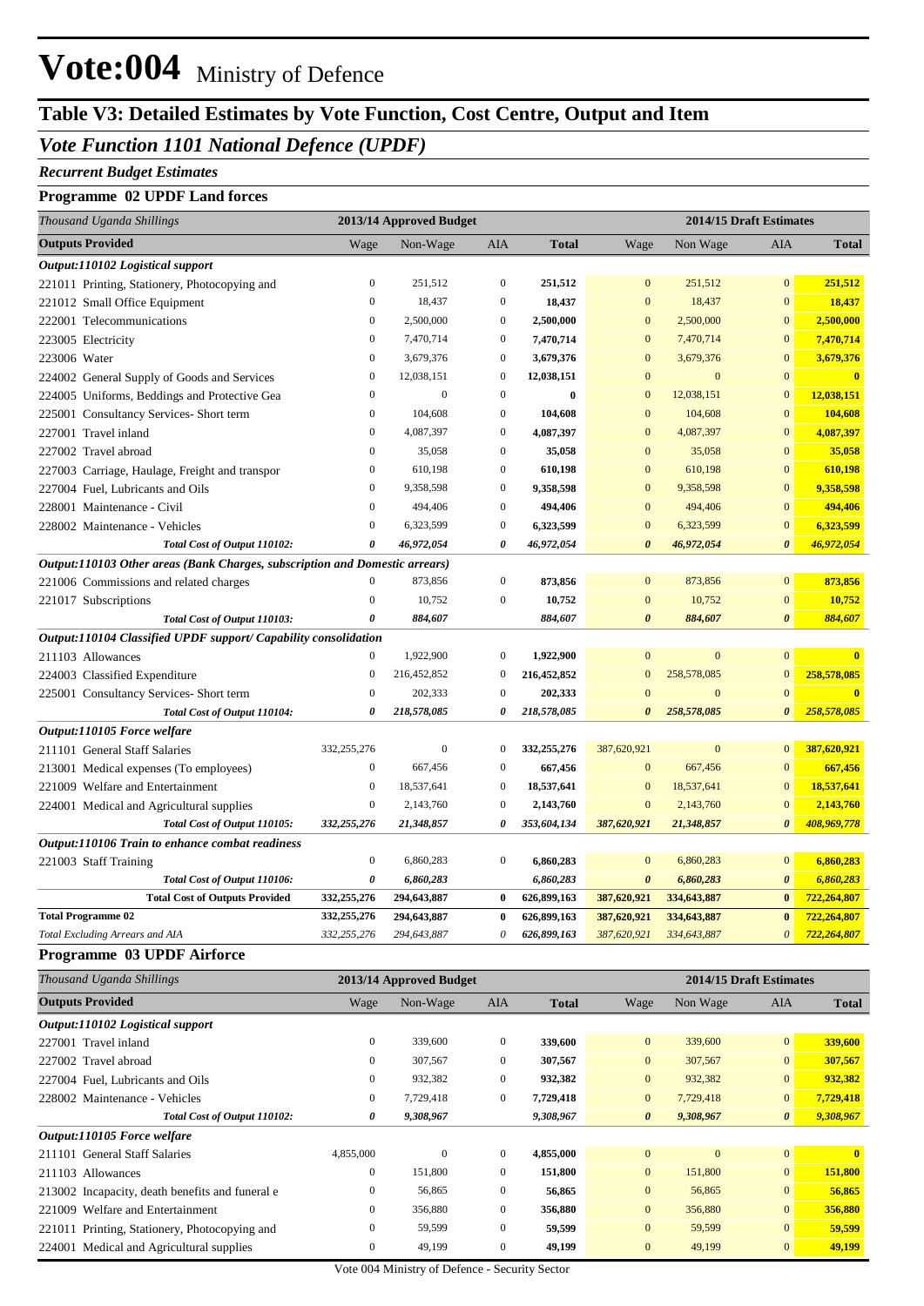## **Table V3: Detailed Estimates by Vote Function, Cost Centre, Output and Item**

### *Vote Function 1101 National Defence (UPDF)*

#### *Recurrent Budget Estimates*

#### **Programme 02 UPDF Land forces**

| Thousand Uganda Shillings<br>2013/14 Approved Budget                                                                                        | 2014/15 Draft Estimates |                |  |  |  |
|---------------------------------------------------------------------------------------------------------------------------------------------|-------------------------|----------------|--|--|--|
| <b>Outputs Provided</b><br>Wage<br>Non-Wage<br>AIA<br>Wage<br>Non Wage<br><b>Total</b>                                                      | AIA                     | <b>Total</b>   |  |  |  |
| Output:110102 Logistical support                                                                                                            |                         |                |  |  |  |
| $\mathbf{0}$<br>$\boldsymbol{0}$<br>221011 Printing, Stationery, Photocopying and<br>251.512<br>251.512<br>$\overline{0}$<br>251,512        | $\mathbf{0}$            | 251,512        |  |  |  |
| $\overline{0}$<br>$\mathbf{0}$<br>18,437<br>$\mathbf{0}$<br>18,437<br>18,437<br>221012 Small Office Equipment                               | $\overline{0}$          | 18,437         |  |  |  |
| $\mathbf{0}$<br>$\boldsymbol{0}$<br>2,500,000<br>$\mathbf{0}$<br>2,500,000<br>222001 Telecommunications<br>2,500,000                        | $\mathbf{0}$            | 2,500,000      |  |  |  |
| $\mathbf{0}$<br>7,470,714<br>$\mathbf{0}$<br>7,470,714<br>$\overline{0}$<br>7,470,714<br>223005 Electricity                                 | $\mathbf{0}$            | 7,470,714      |  |  |  |
| $\mathbf{0}$<br>3,679,376<br>223006 Water<br>3,679,376<br>$\boldsymbol{0}$<br>$\boldsymbol{0}$<br>3,679,376                                 | $\mathbf{0}$            | 3,679,376      |  |  |  |
| $\mathbf{0}$<br>12,038,151<br>$\mathbf{0}$<br>12,038,151<br>$\overline{0}$<br>$\overline{0}$<br>224002 General Supply of Goods and Services | $\overline{0}$          | $\mathbf{0}$   |  |  |  |
| $\overline{0}$<br>$\mathbf{0}$<br>$\mathbf{0}$<br>$\bf{0}$<br>$\mathbf{0}$<br>12,038,151<br>224005 Uniforms, Beddings and Protective Gea    | $\mathbf{0}$            | 12,038,151     |  |  |  |
| $\boldsymbol{0}$<br>104,608<br>$\boldsymbol{0}$<br>104,608<br>$\mathbf{0}$<br>104,608<br>225001 Consultancy Services- Short term            | $\mathbf{0}$            | 104,608        |  |  |  |
| $\boldsymbol{0}$<br>$\boldsymbol{0}$<br>4,087,397<br>$\mathbf{0}$<br>4,087,397<br>227001 Travel inland<br>4,087,397                         | $\overline{0}$          | 4,087,397      |  |  |  |
| $\boldsymbol{0}$<br>35,058<br>$\boldsymbol{0}$<br>35,058<br>$\mathbf{0}$<br>35,058<br>227002 Travel abroad                                  | $\mathbf{0}$            | 35,058         |  |  |  |
| $\boldsymbol{0}$<br>610,198<br>$\boldsymbol{0}$<br>610,198<br>$\mathbf{0}$<br>610,198<br>227003 Carriage, Haulage, Freight and transpor     | $\mathbf{0}$            | 610,198        |  |  |  |
| 227004 Fuel, Lubricants and Oils<br>$\boldsymbol{0}$<br>9,358,598<br>$\boldsymbol{0}$<br>9,358,598<br>$\mathbf{0}$<br>9,358,598             | $\mathbf{0}$            | 9,358,598      |  |  |  |
| $\boldsymbol{0}$<br>$\boldsymbol{0}$<br>494,406<br>$\mathbf{0}$<br>494,406<br>228001 Maintenance - Civil<br>494,406                         | $\mathbf{0}$            | 494,406        |  |  |  |
| $\overline{0}$<br>$\boldsymbol{0}$<br>6,323,599<br>$\boldsymbol{0}$<br>6,323,599<br>6,323,599<br>228002 Maintenance - Vehicles              | $\mathbf{0}$            | 6,323,599      |  |  |  |
| $\boldsymbol{\theta}$<br>0<br>46,972,054<br>0<br>46,972,054<br>46,972,054<br>Total Cost of Output 110102:                                   | $\boldsymbol{\theta}$   | 46,972,054     |  |  |  |
| Output:110103 Other areas (Bank Charges, subscription and Domestic arrears)                                                                 |                         |                |  |  |  |
| $\mathbf{0}$<br>873,856<br>$\mathbf{0}$<br>$\mathbf{0}$<br>873,856<br>221006 Commissions and related charges<br>873,856                     | $\mathbf{0}$            | 873,856        |  |  |  |
| $\mathbf{0}$<br>10,752<br>221017 Subscriptions<br>$\boldsymbol{0}$<br>10,752<br>$\boldsymbol{0}$<br>10,752                                  | $\mathbf{0}$            | 10,752         |  |  |  |
| 0<br>884,607<br>884,607<br>0<br>884,607<br>Total Cost of Output 110103:                                                                     | 0                       | 884,607        |  |  |  |
| Output:110104 Classified UPDF support/ Capability consolidation                                                                             |                         |                |  |  |  |
| $\boldsymbol{0}$<br>$\boldsymbol{0}$<br>$\mathbf{0}$<br>211103 Allowances<br>1,922,900<br>1,922,900<br>$\bf{0}$                             | $\mathbf{0}$            | $\mathbf{0}$   |  |  |  |
| $\boldsymbol{0}$<br>216,452,852<br>$\boldsymbol{0}$<br>216,452,852<br>$\mathbf{0}$<br>258,578,085<br>224003 Classified Expenditure          | $\boldsymbol{0}$        | 258,578,085    |  |  |  |
| $\mathbf{0}$<br>$\mathbf{0}$<br>$\overline{0}$<br>$\overline{0}$<br>202,333<br>202,333<br>225001 Consultancy Services- Short term           | $\mathbf{0}$            | $\overline{0}$ |  |  |  |
| 218,578,085<br>218,578,085<br>258,578,085<br>Total Cost of Output 110104:<br>0<br>0<br>$\boldsymbol{\theta}$                                | $\boldsymbol{\theta}$   | 258,578,085    |  |  |  |
| Output:110105 Force welfare                                                                                                                 |                         |                |  |  |  |
| $\mathbf{0}$<br>332,255,276<br>$\mathbf{0}$<br>$\boldsymbol{0}$<br>332,255,276<br>387,620,921<br>211101 General Staff Salaries              | $\mathbf{0}$            | 387,620,921    |  |  |  |
| $\boldsymbol{0}$<br>$\boldsymbol{0}$<br>667,456<br>$\mathbf{0}$<br>667,456<br>213001 Medical expenses (To employees)<br>667,456             | $\mathbf{0}$            | 667,456        |  |  |  |
| $\boldsymbol{0}$<br>18,537,641<br>$\boldsymbol{0}$<br>18,537,641<br>$\mathbf{0}$<br>18,537,641<br>221009 Welfare and Entertainment          | $\mathbf{0}$            | 18,537,641     |  |  |  |
| $\boldsymbol{0}$<br>2,143,760<br>$\mathbf{0}$<br>2,143,760<br>$\mathbf{0}$<br>2,143,760<br>224001 Medical and Agricultural supplies         | $\mathbf{0}$            | 2,143,760      |  |  |  |
| 332,255,276<br>353,604,134<br>387,620,921<br>Total Cost of Output 110105:<br>21,348,857<br>0<br>21,348,857                                  | $\boldsymbol{\theta}$   | 408,969,778    |  |  |  |
| Output:110106 Train to enhance combat readiness                                                                                             |                         |                |  |  |  |
| 221003 Staff Training<br>$\mathbf{0}$<br>$\boldsymbol{0}$<br>$\mathbf{0}$<br>6,860,283<br>6,860,283<br>6,860,283                            | $\mathbf{0}$            | 6,860,283      |  |  |  |
| Total Cost of Output 110106:<br>$\boldsymbol{\theta}$<br>0<br>6,860,283<br>6,860,283<br>6,860,283                                           | $\boldsymbol{\theta}$   | 6,860,283      |  |  |  |
| <b>Total Cost of Outputs Provided</b><br>294,643,887<br>626,899,163<br>387,620,921<br>334,643,887<br>332,255,276<br>$\bf{0}$                | $\bf{0}$                | 722,264,807    |  |  |  |
| <b>Total Programme 02</b><br>332,255,276<br>294,643,887<br>626,899,163<br>387,620,921<br>334,643,887<br>$\bf{0}$                            | $\bf{0}$                | 722,264,807    |  |  |  |
| 626,899,163<br>Total Excluding Arrears and AIA<br>332,255,276<br>294,643,887<br>0<br>387,620,921<br>334,643,887                             | $\boldsymbol{0}$        | 722,264,807    |  |  |  |

#### **Programme 03 UPDF Airforce**

| Thousand Uganda Shillings                       |                  | 2013/14 Approved Budget |              |              |                       | 2014/15 Draft Estimates |                       |              |  |
|-------------------------------------------------|------------------|-------------------------|--------------|--------------|-----------------------|-------------------------|-----------------------|--------------|--|
| <b>Outputs Provided</b>                         | Wage             | Non-Wage                | AIA          | <b>Total</b> | Wage                  | Non Wage                | <b>AIA</b>            | <b>Total</b> |  |
| Output:110102 Logistical support                |                  |                         |              |              |                       |                         |                       |              |  |
| 227001 Travel inland                            | $\overline{0}$   | 339,600                 | $\Omega$     | 339,600      | $\overline{0}$        | 339,600                 | $\overline{0}$        | 339,600      |  |
| 227002 Travel abroad                            | $\boldsymbol{0}$ | 307,567                 | $\mathbf{0}$ | 307,567      | $\overline{0}$        | 307,567                 | $\mathbf{0}$          | 307,567      |  |
| 227004 Fuel, Lubricants and Oils                | $\overline{0}$   | 932,382                 | $\mathbf{0}$ | 932,382      | $\mathbf{0}$          | 932,382                 | $\overline{0}$        | 932,382      |  |
| 228002 Maintenance - Vehicles                   | $\overline{0}$   | 7,729,418               | $\mathbf{0}$ | 7,729,418    | $\overline{0}$        | 7,729,418               | $\overline{0}$        | 7,729,418    |  |
| Total Cost of Output 110102:                    | 0                | 9,308,967               |              | 9,308,967    | $\boldsymbol{\theta}$ | 9,308,967               | $\boldsymbol{\theta}$ | 9,308,967    |  |
| Output:110105 Force welfare                     |                  |                         |              |              |                       |                         |                       |              |  |
| 211101 General Staff Salaries                   | 4,855,000        | $\mathbf{0}$            | $\mathbf{0}$ | 4,855,000    | $\mathbf{0}$          | $\mathbf{0}$            | $\overline{0}$        | $\mathbf{0}$ |  |
| 211103 Allowances                               | $\mathbf{0}$     | 151,800                 | $\mathbf{0}$ | 151,800      | $\overline{0}$        | 151,800                 | $\overline{0}$        | 151,800      |  |
| 213002 Incapacity, death benefits and funeral e | $\overline{0}$   | 56,865                  | $\mathbf{0}$ | 56,865       | $\overline{0}$        | 56,865                  | $\mathbf{0}$          | 56,865       |  |
| Welfare and Entertainment<br>221009             | $\mathbf{0}$     | 356,880                 | $\mathbf{0}$ | 356,880      | $\overline{0}$        | 356,880                 | $\mathbf{0}$          | 356,880      |  |
| 221011 Printing, Stationery, Photocopying and   | $\mathbf{0}$     | 59,599                  | $\mathbf{0}$ | 59,599       | $\overline{0}$        | 59,599                  | $\mathbf{0}$          | 59,599       |  |
| 224001 Medical and Agricultural supplies        | $\mathbf{0}$     | 49,199                  | $\mathbf{0}$ | 49,199       | $\mathbf{0}$          | 49,199                  | $\mathbf{0}$          | 49,199       |  |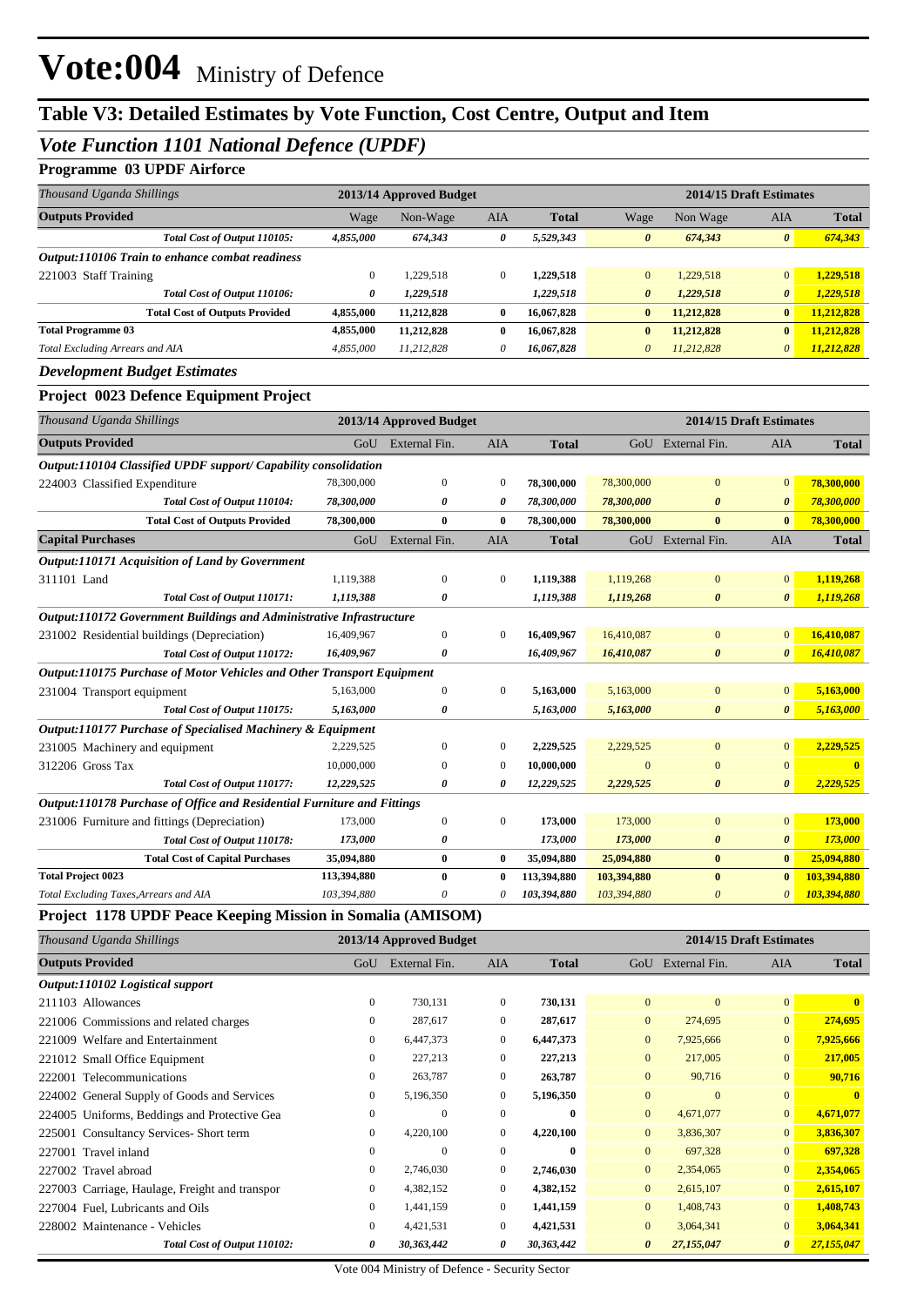## **Table V3: Detailed Estimates by Vote Function, Cost Centre, Output and Item**

### *Vote Function 1101 National Defence (UPDF)*

#### **Programme 03 UPDF Airforce**

| Thousand Uganda Shillings                       | 2013/14 Approved Budget |            |              |              | 2014/15 Draft Estimates |            |                |              |  |  |
|-------------------------------------------------|-------------------------|------------|--------------|--------------|-------------------------|------------|----------------|--------------|--|--|
| <b>Outputs Provided</b>                         | Wage                    | Non-Wage   | <b>AIA</b>   | <b>Total</b> | Wage                    | Non Wage   | <b>AIA</b>     | <b>Total</b> |  |  |
| Total Cost of Output 110105:                    | 4,855,000               | 674,343    | 0            | 5,529,343    | $\boldsymbol{\theta}$   | 674,343    | $\theta$       | 674,343      |  |  |
| Output:110106 Train to enhance combat readiness |                         |            |              |              |                         |            |                |              |  |  |
| 221003 Staff Training                           | 0                       | 1.229.518  | $\mathbf{0}$ | 1,229,518    | $\overline{0}$          | 1.229.518  | $\overline{0}$ | 1,229,518    |  |  |
| Total Cost of Output 110106:                    | 0                       | 1,229,518  |              | 1,229,518    | $\boldsymbol{\theta}$   | 1,229,518  | $\theta$       | 1,229,518    |  |  |
| <b>Total Cost of Outputs Provided</b>           | 4,855,000               | 11.212.828 | $\mathbf{0}$ | 16,067,828   | $\bf{0}$                | 11,212,828 | $\bf{0}$       | 11.212.828   |  |  |
| <b>Total Programme 03</b>                       | 4,855,000               | 11,212,828 | $\mathbf{0}$ | 16,067,828   | $\bf{0}$                | 11,212,828 | $\mathbf{0}$   | 11,212,828   |  |  |
| Total Excluding Arrears and AIA                 | 4,855,000               | 11.212.828 | $\theta$     | 16.067.828   | $\theta$                | 11.212.828 | $\theta$       | 11,212,828   |  |  |
| $\mathbf{r}$ is the state of $\mathbf{r}$ .     |                         |            |              |              |                         |            |                |              |  |  |

#### *Development Budget Estimates*

#### **Project 0023 Defence Equipment Project**

| Thousand Uganda Shillings                                               |             | 2013/14 Approved Budget |                  |              |                |                       | 2014/15 Draft Estimates |              |
|-------------------------------------------------------------------------|-------------|-------------------------|------------------|--------------|----------------|-----------------------|-------------------------|--------------|
| <b>Outputs Provided</b>                                                 |             | GoU External Fin.       | <b>AIA</b>       | <b>Total</b> |                | GoU External Fin.     | <b>AIA</b>              | <b>Total</b> |
| Output:110104 Classified UPDF support/ Capability consolidation         |             |                         |                  |              |                |                       |                         |              |
| 224003 Classified Expenditure                                           | 78,300,000  | $\mathbf{0}$            | $\boldsymbol{0}$ | 78,300,000   | 78,300,000     | $\overline{0}$        | $\Omega$                | 78,300,000   |
| Total Cost of Output 110104:                                            | 78,300,000  | 0                       | 0                | 78,300,000   | 78,300,000     | 0                     | $\boldsymbol{\theta}$   | 78,300,000   |
| <b>Total Cost of Outputs Provided</b>                                   | 78,300,000  | $\bf{0}$                | $\mathbf{0}$     | 78,300,000   | 78,300,000     | $\mathbf{0}$          | $\mathbf{0}$            | 78,300,000   |
| <b>Capital Purchases</b>                                                | GoU         | External Fin.           | <b>AIA</b>       | <b>Total</b> |                | GoU External Fin.     | <b>AIA</b>              | <b>Total</b> |
| <b>Output:110171 Acquisition of Land by Government</b>                  |             |                         |                  |              |                |                       |                         |              |
| 311101 Land                                                             | 1,119,388   | $\mathbf{0}$            | $\mathbf{0}$     | 1,119,388    | 1,119,268      | $\bf{0}$              | $\overline{0}$          | 1,119,268    |
| Total Cost of Output 110171:                                            | 1,119,388   | 0                       |                  | 1,119,388    | 1,119,268      | $\boldsymbol{\theta}$ | $\theta$                | 1,119,268    |
| Output:110172 Government Buildings and Administrative Infrastructure    |             |                         |                  |              |                |                       |                         |              |
| 231002 Residential buildings (Depreciation)                             | 16,409,967  | $\mathbf{0}$            | 0                | 16,409,967   | 16,410,087     | $\overline{0}$        | $\mathbf{0}$            | 16,410,087   |
| Total Cost of Output 110172:                                            | 16,409,967  | 0                       |                  | 16,409,967   | 16,410,087     | 0                     | $\boldsymbol{\theta}$   | 16,410,087   |
| Output:110175 Purchase of Motor Vehicles and Other Transport Equipment  |             |                         |                  |              |                |                       |                         |              |
| 231004 Transport equipment                                              | 5,163,000   | $\Omega$                | $\mathbf{0}$     | 5,163,000    | 5,163,000      | $\overline{0}$        | $\overline{0}$          | 5,163,000    |
| Total Cost of Output 110175:                                            | 5,163,000   | 0                       |                  | 5,163,000    | 5,163,000      | 0                     | $\boldsymbol{\theta}$   | 5,163,000    |
| Output:110177 Purchase of Specialised Machinery & Equipment             |             |                         |                  |              |                |                       |                         |              |
| 231005 Machinery and equipment                                          | 2,229,525   | $\mathbf{0}$            | 0                | 2,229,525    | 2,229,525      | $\overline{0}$        | $\overline{0}$          | 2,229,525    |
| 312206 Gross Tax                                                        | 10,000,000  | $\mathbf{0}$            | $\mathbf{0}$     | 10,000,000   | $\overline{0}$ | $\overline{0}$        | $\Omega$                | $\mathbf{0}$ |
| Total Cost of Output 110177:                                            | 12,229,525  | 0                       | 0                | 12,229,525   | 2,229,525      | $\boldsymbol{\theta}$ | $\boldsymbol{\theta}$   | 2,229,525    |
| Output:110178 Purchase of Office and Residential Furniture and Fittings |             |                         |                  |              |                |                       |                         |              |
| 231006 Furniture and fittings (Depreciation)                            | 173,000     | $\boldsymbol{0}$        | $\mathbf{0}$     | 173,000      | 173,000        | $\bf{0}$              | $\mathbf{0}$            | 173,000      |
| Total Cost of Output 110178:                                            | 173,000     | 0                       |                  | 173,000      | 173,000        | 0                     | $\boldsymbol{\theta}$   | 173,000      |
| <b>Total Cost of Capital Purchases</b>                                  | 35,094,880  | $\bf{0}$                | $\bf{0}$         | 35,094,880   | 25,094,880     | $\bf{0}$              | $\bf{0}$                | 25,094,880   |
| <b>Total Project 0023</b>                                               | 113,394,880 | $\bf{0}$                | 0                | 113,394,880  | 103,394,880    | $\bf{0}$              | $\bf{0}$                | 103,394,880  |
| Total Excluding Taxes, Arrears and AIA                                  | 103,394,880 | 0                       |                  | 103,394,880  | 103,394,880    | $\theta$              | $\boldsymbol{\theta}$   | 103,394,880  |

#### **Project 1178 UPDF Peace Keeping Mission in Somalia (AMISOM)**

| Thousand Uganda Shillings                      |                  | 2013/14 Approved Budget |              |              | 2014/15 Draft Estimates |               |                       |              |  |
|------------------------------------------------|------------------|-------------------------|--------------|--------------|-------------------------|---------------|-----------------------|--------------|--|
| <b>Outputs Provided</b>                        | GoU              | External Fin.           | <b>AIA</b>   | <b>Total</b> | GoU                     | External Fin. | <b>AIA</b>            | <b>Total</b> |  |
| Output:110102 Logistical support               |                  |                         |              |              |                         |               |                       |              |  |
| 211103 Allowances                              | $\overline{0}$   | 730,131                 | $\mathbf{0}$ | 730,131      | $\mathbf{0}$            | $\mathbf{0}$  | $\overline{0}$        | $\mathbf{0}$ |  |
| 221006 Commissions and related charges         | $\overline{0}$   | 287,617                 | $\mathbf{0}$ | 287,617      | $\mathbf{0}$            | 274,695       | $\overline{0}$        | 274,695      |  |
| 221009 Welfare and Entertainment               | $\boldsymbol{0}$ | 6,447,373               | $\mathbf{0}$ | 6,447,373    | $\mathbf{0}$            | 7,925,666     | $\overline{0}$        | 7,925,666    |  |
| 221012 Small Office Equipment                  | $\boldsymbol{0}$ | 227,213                 | $\mathbf{0}$ | 227,213      | $\overline{0}$          | 217,005       | $\overline{0}$        | 217,005      |  |
| 222001 Telecommunications                      | $\boldsymbol{0}$ | 263,787                 | $\mathbf{0}$ | 263,787      | $\overline{0}$          | 90,716        | $\overline{0}$        | 90,716       |  |
| 224002 General Supply of Goods and Services    | $\overline{0}$   | 5,196,350               | $\mathbf{0}$ | 5,196,350    | $\mathbf{0}$            | $\mathbf{0}$  | $\overline{0}$        | $\mathbf{0}$ |  |
| 224005 Uniforms, Beddings and Protective Gea   | $\overline{0}$   | $\Omega$                | $\mathbf{0}$ | $\mathbf{0}$ | $\mathbf{0}$            | 4,671,077     | $\overline{0}$        | 4,671,077    |  |
| 225001 Consultancy Services-Short term         | $\overline{0}$   | 4,220,100               | $\mathbf{0}$ | 4,220,100    | $\mathbf{0}$            | 3,836,307     | $\overline{0}$        | 3,836,307    |  |
| 227001 Travel inland                           | $\overline{0}$   | $\Omega$                | $\mathbf{0}$ | $\bf{0}$     | $\overline{0}$          | 697,328       | $\overline{0}$        | 697,328      |  |
| 227002 Travel abroad                           | $\overline{0}$   | 2,746,030               | $\mathbf{0}$ | 2,746,030    | $\mathbf{0}$            | 2,354,065     | $\overline{0}$        | 2,354,065    |  |
| 227003 Carriage, Haulage, Freight and transpor | $\overline{0}$   | 4,382,152               | $\mathbf{0}$ | 4,382,152    | $\overline{0}$          | 2,615,107     | $\overline{0}$        | 2,615,107    |  |
| 227004 Fuel, Lubricants and Oils               | $\overline{0}$   | 1,441,159               | $\mathbf{0}$ | 1,441,159    | $\overline{0}$          | 1,408,743     | $\overline{0}$        | 1,408,743    |  |
| 228002 Maintenance - Vehicles                  | $\overline{0}$   | 4,421,531               | $\mathbf{0}$ | 4,421,531    | $\mathbf{0}$            | 3,064,341     | $\overline{0}$        | 3,064,341    |  |
| Total Cost of Output 110102:                   | 0                | 30,363,442              | 0            | 30,363,442   | $\boldsymbol{\theta}$   | 27,155,047    | $\boldsymbol{\theta}$ | 27,155,047   |  |

Vote 004 Ministry of Defence - Security Sector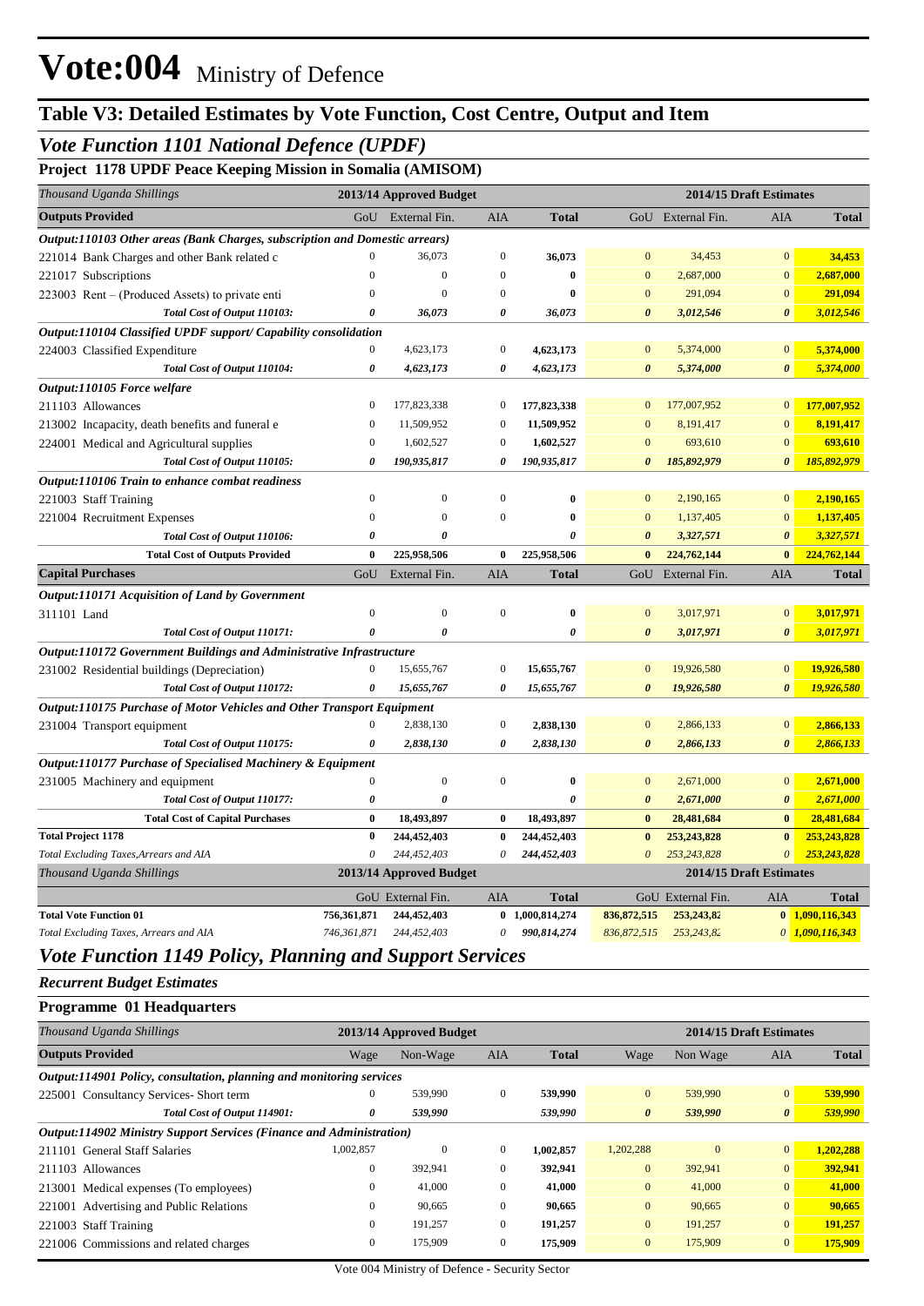## **Table V3: Detailed Estimates by Vote Function, Cost Centre, Output and Item**

### *Vote Function 1101 National Defence (UPDF)*

**Project 1178 UPDF Peace Keeping Mission in Somalia (AMISOM)**

| Thousand Uganda Shillings                                                     |                       | 2013/14 Approved Budget |                  |                 |                       | 2014/15 Draft Estimates |                       |                   |
|-------------------------------------------------------------------------------|-----------------------|-------------------------|------------------|-----------------|-----------------------|-------------------------|-----------------------|-------------------|
| <b>Outputs Provided</b>                                                       | GoU                   | External Fin.           | <b>AIA</b>       | <b>Total</b>    |                       | GoU External Fin.       | AIA                   | <b>Total</b>      |
| Output:110103 Other areas (Bank Charges, subscription and Domestic arrears)   |                       |                         |                  |                 |                       |                         |                       |                   |
| 221014 Bank Charges and other Bank related c                                  | $\mathbf{0}$          | 36,073                  | $\mathbf{0}$     | 36,073          | $\mathbf{0}$          | 34,453                  | $\overline{0}$        | 34,453            |
| 221017 Subscriptions                                                          | $\mathbf{0}$          | $\boldsymbol{0}$        | $\boldsymbol{0}$ | $\bf{0}$        | $\mathbf{0}$          | 2,687,000               | $\mathbf{0}$          | 2,687,000         |
| 223003 Rent – (Produced Assets) to private enti                               | $\mathbf{0}$          | $\Omega$                | $\boldsymbol{0}$ | $\bf{0}$        | $\mathbf{0}$          | 291,094                 | $\mathbf{0}$          | 291,094           |
| Total Cost of Output 110103:                                                  | 0                     | 36,073                  | 0                | 36,073          | $\boldsymbol{\theta}$ | 3,012,546               | $\boldsymbol{\theta}$ | 3,012,546         |
| Output:110104 Classified UPDF support/ Capability consolidation               |                       |                         |                  |                 |                       |                         |                       |                   |
| 224003 Classified Expenditure                                                 | $\boldsymbol{0}$      | 4,623,173               | $\boldsymbol{0}$ | 4,623,173       | $\mathbf{0}$          | 5,374,000               | $\mathbf{0}$          | 5,374,000         |
| Total Cost of Output 110104:                                                  | $\pmb{\theta}$        | 4,623,173               | $\theta$         | 4,623,173       | $\boldsymbol{\theta}$ | 5,374,000               | $\boldsymbol{\theta}$ | 5,374,000         |
| Output:110105 Force welfare                                                   |                       |                         |                  |                 |                       |                         |                       |                   |
| 211103 Allowances                                                             | $\boldsymbol{0}$      | 177,823,338             | $\boldsymbol{0}$ | 177,823,338     | $\mathbf{0}$          | 177,007,952             | $\boldsymbol{0}$      | 177,007,952       |
| 213002 Incapacity, death benefits and funeral e                               | $\boldsymbol{0}$      | 11,509,952              | $\boldsymbol{0}$ | 11,509,952      | $\mathbf{0}$          | 8,191,417               | $\mathbf{0}$          | 8,191,417         |
| 224001 Medical and Agricultural supplies                                      | $\mathbf{0}$          | 1,602,527               | $\mathbf{0}$     | 1,602,527       | $\mathbf{0}$          | 693,610                 | $\mathbf{0}$          | 693,610           |
| Total Cost of Output 110105:                                                  | 0                     | 190,935,817             | $\theta$         | 190,935,817     | $\boldsymbol{\theta}$ | 185,892,979             | $\boldsymbol{\theta}$ | 185,892,979       |
| Output:110106 Train to enhance combat readiness                               |                       |                         |                  |                 |                       |                         |                       |                   |
| 221003 Staff Training                                                         | $\mathbf{0}$          | $\overline{0}$          | $\mathbf{0}$     | $\bf{0}$        | $\mathbf{0}$          | 2,190,165               | $\overline{0}$        | 2,190,165         |
| 221004 Recruitment Expenses                                                   | $\mathbf{0}$          | $\overline{0}$          | $\mathbf{0}$     | $\bf{0}$        | $\mathbf{0}$          | 1,137,405               | $\overline{0}$        | 1,137,405         |
| Total Cost of Output 110106:                                                  | 0                     | 0                       |                  | 0               | $\boldsymbol{\theta}$ | 3,327,571               | $\boldsymbol{\theta}$ | 3,327,571         |
| <b>Total Cost of Outputs Provided</b>                                         | $\bf{0}$              | 225,958,506             | $\bf{0}$         | 225,958,506     | $\bf{0}$              | 224,762,144             | $\bf{0}$              | 224,762,144       |
| <b>Capital Purchases</b>                                                      | GoU                   | External Fin.           | <b>AIA</b>       | <b>Total</b>    |                       | GoU External Fin.       | <b>AIA</b>            | <b>Total</b>      |
| Output:110171 Acquisition of Land by Government                               |                       |                         |                  |                 |                       |                         |                       |                   |
| 311101 Land                                                                   | $\mathbf{0}$          | $\overline{0}$          | $\mathbf{0}$     | $\bf{0}$        | $\mathbf{0}$          | 3,017,971               | $\mathbf{0}$          | 3,017,971         |
| Total Cost of Output 110171:                                                  | $\boldsymbol{\theta}$ | 0                       |                  | 0               | $\boldsymbol{\theta}$ | 3,017,971               | $\boldsymbol{\theta}$ | 3,017,971         |
| Output:110172 Government Buildings and Administrative Infrastructure          |                       |                         |                  |                 |                       |                         |                       |                   |
| 231002 Residential buildings (Depreciation)                                   | $\boldsymbol{0}$      | 15,655,767              | $\boldsymbol{0}$ | 15,655,767      | $\mathbf{0}$          | 19,926,580              | $\mathbf{0}$          | 19,926,580        |
| Total Cost of Output 110172:                                                  | 0                     | 15,655,767              | 0                | 15,655,767      | $\boldsymbol{\theta}$ | 19,926,580              | $\boldsymbol{\theta}$ | 19,926,580        |
| <b>Output:110175 Purchase of Motor Vehicles and Other Transport Equipment</b> |                       |                         |                  |                 |                       |                         |                       |                   |
| 231004 Transport equipment                                                    | $\boldsymbol{0}$      | 2,838,130               | $\boldsymbol{0}$ | 2,838,130       | $\mathbf{0}$          | 2,866,133               | $\mathbf{0}$          | 2,866,133         |
| Total Cost of Output 110175:                                                  | 0                     | 2,838,130               | $\theta$         | 2,838,130       | $\boldsymbol{\theta}$ | 2,866,133               | $\boldsymbol{\theta}$ | 2,866,133         |
| Output:110177 Purchase of Specialised Machinery & Equipment                   |                       |                         |                  |                 |                       |                         |                       |                   |
| 231005 Machinery and equipment                                                | $\boldsymbol{0}$      | $\boldsymbol{0}$        | $\boldsymbol{0}$ | $\bf{0}$        | $\mathbf{0}$          | 2,671,000               | $\mathbf{0}$          | 2,671,000         |
| Total Cost of Output 110177:                                                  | $\pmb{\theta}$        | 0                       |                  | 0               | $\boldsymbol{\theta}$ | 2,671,000               | $\boldsymbol{\theta}$ | 2,671,000         |
| <b>Total Cost of Capital Purchases</b>                                        | $\bf{0}$              | 18,493,897              | $\bf{0}$         | 18,493,897      | $\bf{0}$              | 28,481,684              | $\bf{0}$              | 28,481,684        |
| <b>Total Project 1178</b>                                                     | $\bf{0}$              | 244,452,403             | $\bf{0}$         | 244,452,403     | $\bf{0}$              | 253, 243, 828           | $\bf{0}$              | 253,243,828       |
| Total Excluding Taxes, Arrears and AIA                                        | $\theta$              | 244,452,403             | $\theta$         | 244,452,403     | $\boldsymbol{\theta}$ | 253,243,828             | $\boldsymbol{\theta}$ | 253,243,828       |
| Thousand Uganda Shillings                                                     |                       | 2013/14 Approved Budget |                  |                 |                       | 2014/15 Draft Estimates |                       |                   |
|                                                                               |                       | GoU External Fin.       | AIA              | <b>Total</b>    |                       | GoU External Fin.       | AIA                   | <b>Total</b>      |
| <b>Total Vote Function 01</b>                                                 | 756,361,871           | 244,452,403             |                  | 0 1,000,814,274 | 836, 872, 515         | 253, 243, 82            |                       | $0$ 1,090,116,343 |
| Total Excluding Taxes, Arrears and AIA                                        | 746,361,871           | 244,452,403             | 0                | 990,814,274     | 836,872,515           | 253,243,82              |                       | 0 1,090,116,343   |

### *Vote Function 1149 Policy, Planning and Support Services*

*Recurrent Budget Estimates*

#### **Programme 01 Headquarters**

| Thousand Uganda Shillings                                                   | 2013/14 Approved Budget |          |              |              |                | 2014/15 Draft Estimates |                       |              |
|-----------------------------------------------------------------------------|-------------------------|----------|--------------|--------------|----------------|-------------------------|-----------------------|--------------|
| <b>Outputs Provided</b>                                                     | Wage                    | Non-Wage | <b>AIA</b>   | <b>Total</b> | Wage           | Non Wage                | <b>AIA</b>            | <b>Total</b> |
| Output:114901 Policy, consultation, planning and monitoring services        |                         |          |              |              |                |                         |                       |              |
| 225001 Consultancy Services-Short term                                      | $\theta$                | 539,990  | $\Omega$     | 539,990      | $\overline{0}$ | 539,990                 | $\overline{0}$        | 539,990      |
| Total Cost of Output 114901:                                                | 0                       | 539,990  |              | 539,990      | $\theta$       | 539,990                 | $\boldsymbol{\theta}$ | 539,990      |
| <b>Output:114902 Ministry Support Services (Finance and Administration)</b> |                         |          |              |              |                |                         |                       |              |
| 211101 General Staff Salaries                                               | 1,002,857               | $\theta$ | $\mathbf{0}$ | 1,002,857    | 1,202,288      | $\mathbf{0}$            | $\overline{0}$        | 1,202,288    |
| 211103 Allowances                                                           | $\overline{0}$          | 392,941  | $\Omega$     | 392.941      | $\overline{0}$ | 392,941                 | $\overline{0}$        | 392,941      |
| 213001 Medical expenses (To employees)                                      | 0                       | 41,000   | $\mathbf{0}$ | 41,000       | $\overline{0}$ | 41,000                  | $\overline{0}$        | 41,000       |
| 221001 Advertising and Public Relations                                     | $\mathbf{0}$            | 90,665   | $\mathbf{0}$ | 90,665       | $\overline{0}$ | 90,665                  | $\overline{0}$        | 90,665       |
| 221003 Staff Training                                                       | $\mathbf{0}$            | 191,257  | $\Omega$     | 191,257      | $\overline{0}$ | 191,257                 | $\overline{0}$        | 191,257      |
| 221006 Commissions and related charges                                      | 0                       | 175,909  | $\Omega$     | 175,909      | $\Omega$       | 175,909                 | $\overline{0}$        | 175,909      |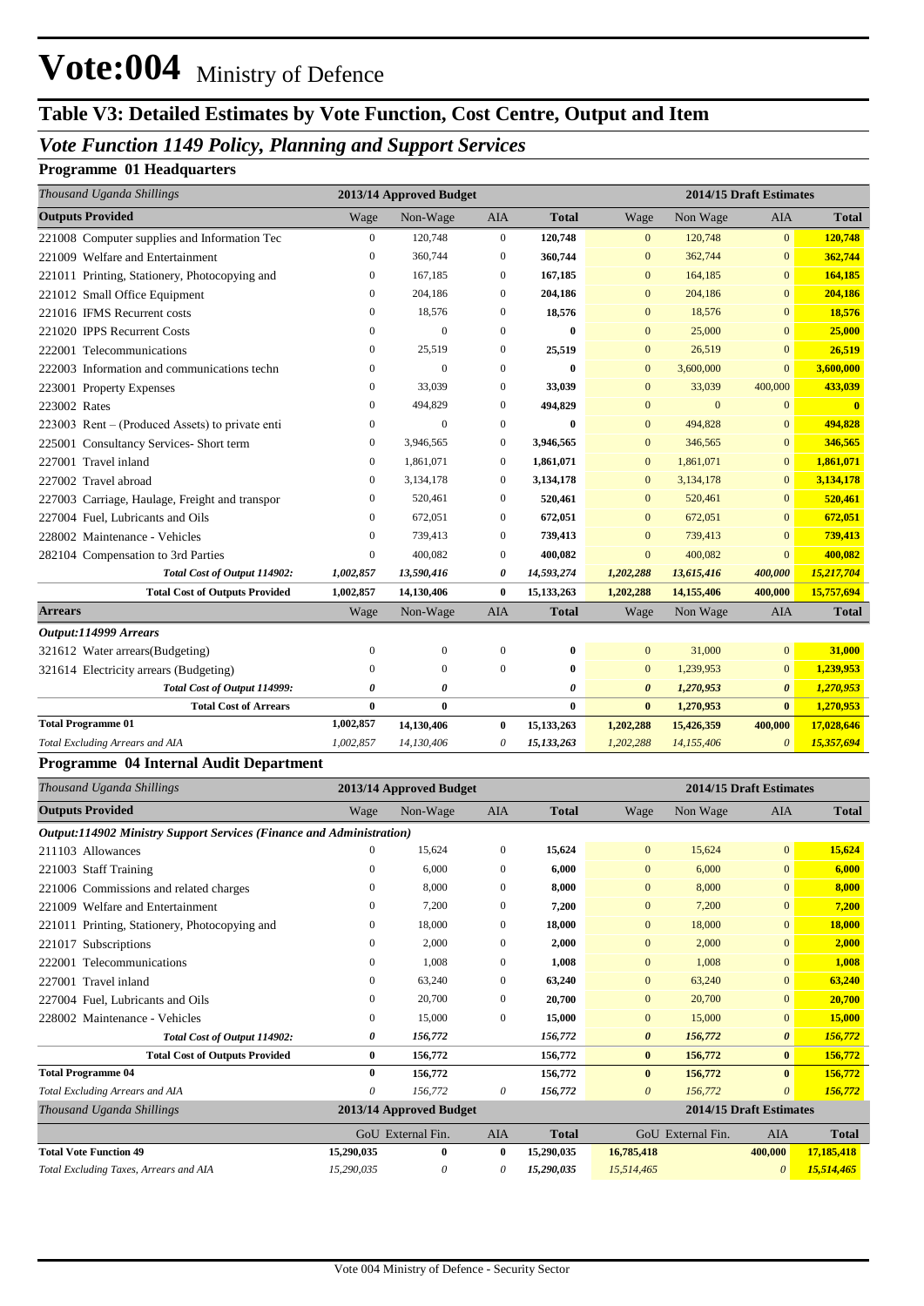## **Table V3: Detailed Estimates by Vote Function, Cost Centre, Output and Item**

#### *Vote Function 1149 Policy, Planning and Support Services*

#### **Programme 01 Headquarters**

| Thousand Uganda Shillings                       |                  | 2013/14 Approved Budget |                  |              |                       |                | 2014/15 Draft Estimates |              |
|-------------------------------------------------|------------------|-------------------------|------------------|--------------|-----------------------|----------------|-------------------------|--------------|
| <b>Outputs Provided</b>                         | Wage             | Non-Wage                | <b>AIA</b>       | <b>Total</b> | Wage                  | Non Wage       | <b>AIA</b>              | <b>Total</b> |
| 221008 Computer supplies and Information Tec    | $\overline{0}$   | 120,748                 | $\mathbf{0}$     | 120,748      | $\mathbf{0}$          | 120,748        | $\overline{0}$          | 120,748      |
| 221009 Welfare and Entertainment                | $\boldsymbol{0}$ | 360,744                 | $\boldsymbol{0}$ | 360,744      | $\mathbf{0}$          | 362,744        | $\mathbf{0}$            | 362,744      |
| 221011 Printing, Stationery, Photocopying and   | $\mathbf{0}$     | 167,185                 | $\mathbf{0}$     | 167,185      | $\overline{0}$        | 164,185        | $\overline{0}$          | 164,185      |
| 221012 Small Office Equipment                   | $\mathbf{0}$     | 204,186                 | $\mathbf{0}$     | 204,186      | $\mathbf{0}$          | 204,186        | $\overline{0}$          | 204,186      |
| 221016 IFMS Recurrent costs                     | $\mathbf{0}$     | 18,576                  | $\mathbf{0}$     | 18,576       | $\mathbf{0}$          | 18,576         | $\mathbf{0}$            | 18,576       |
| 221020 IPPS Recurrent Costs                     | $\mathbf{0}$     | $\theta$                | $\Omega$         | 0            | $\Omega$              | 25,000         | $\overline{0}$          | 25,000       |
| 222001 Telecommunications                       | $\boldsymbol{0}$ | 25,519                  | $\mathbf{0}$     | 25,519       | $\boldsymbol{0}$      | 26,519         | $\overline{0}$          | 26,519       |
| 222003 Information and communications techn     | $\mathbf{0}$     | $\theta$                | $\mathbf{0}$     | $\bf{0}$     | $\overline{0}$        | 3,600,000      | $\overline{0}$          | 3,600,000    |
| 223001 Property Expenses                        | $\boldsymbol{0}$ | 33,039                  | $\mathbf{0}$     | 33,039       | $\mathbf{0}$          | 33,039         | 400,000                 | 433,039      |
| 223002 Rates                                    | $\mathbf{0}$     | 494,829                 | $\mathbf{0}$     | 494,829      | $\mathbf{0}$          | $\overline{0}$ | $\overline{0}$          |              |
| 223003 Rent – (Produced Assets) to private enti | $\mathbf{0}$     | $\Omega$                | $\mathbf{0}$     | 0            | $\mathbf{0}$          | 494,828        | $\overline{0}$          | 494,828      |
| 225001 Consultancy Services- Short term         | 0                | 3,946,565               | $\mathbf{0}$     | 3,946,565    | $\mathbf{0}$          | 346,565        | $\overline{0}$          | 346,565      |
| 227001 Travel inland                            | $\mathbf{0}$     | 1,861,071               | $\mathbf{0}$     | 1,861,071    | $\mathbf{0}$          | 1,861,071      | $\mathbf{0}$            | 1,861,071    |
| 227002 Travel abroad                            | $\mathbf{0}$     | 3,134,178               | $\mathbf{0}$     | 3,134,178    | $\overline{0}$        | 3,134,178      | $\overline{0}$          | 3,134,178    |
| 227003 Carriage, Haulage, Freight and transpor  | $\boldsymbol{0}$ | 520,461                 | $\mathbf{0}$     | 520,461      | $\mathbf{0}$          | 520,461        | $\overline{0}$          | 520,461      |
| 227004 Fuel, Lubricants and Oils                | 0                | 672,051                 | $\mathbf{0}$     | 672,051      | $\mathbf{0}$          | 672,051        | $\overline{0}$          | 672,051      |
| 228002 Maintenance - Vehicles                   | $\Omega$         | 739,413                 | $\mathbf{0}$     | 739,413      | $\overline{0}$        | 739,413        | $\Omega$                | 739,413      |
| 282104 Compensation to 3rd Parties              | $\mathbf{0}$     | 400,082                 | $\mathbf{0}$     | 400,082      | $\mathbf{0}$          | 400,082        | $\overline{0}$          | 400,082      |
| Total Cost of Output 114902:                    | 1,002,857        | 13,590,416              | 0                | 14,593,274   | 1,202,288             | 13,615,416     | 400,000                 | 15,217,704   |
| <b>Total Cost of Outputs Provided</b>           | 1,002,857        | 14,130,406              | $\bf{0}$         | 15,133,263   | 1,202,288             | 14,155,406     | 400,000                 | 15,757,694   |
| <b>Arrears</b>                                  | Wage             | Non-Wage                | <b>AIA</b>       | <b>Total</b> | Wage                  | Non Wage       | <b>AIA</b>              | <b>Total</b> |
| Output:114999 Arrears                           |                  |                         |                  |              |                       |                |                         |              |
| 321612 Water arrears(Budgeting)                 | $\mathbf{0}$     | $\mathbf{0}$            | $\mathbf{0}$     | 0            | $\overline{0}$        | 31,000         | $\overline{0}$          | 31,000       |
| 321614 Electricity arrears (Budgeting)          | $\Omega$         | $\Omega$                | $\overline{0}$   | $\bf{0}$     | $\mathbf{0}$          | 1,239,953      | $\overline{0}$          | 1,239,953    |
| Total Cost of Output 114999:                    | 0                | O                       |                  | 0            | $\boldsymbol{\theta}$ | 1,270,953      | $\boldsymbol{\theta}$   | 1,270,953    |
| <b>Total Cost of Arrears</b>                    | $\bf{0}$         | $\bf{0}$                |                  | $\bf{0}$     | $\bf{0}$              | 1,270,953      | $\bf{0}$                | 1,270,953    |
| <b>Total Programme 01</b>                       | 1,002,857        | 14,130,406              | $\bf{0}$         | 15,133,263   | 1,202,288             | 15,426,359     | 400,000                 | 17,028,646   |
| Total Excluding Arrears and AIA                 | 1,002,857        | 14,130,406              | 0                | 15,133,263   | 1,202,288             | 14,155,406     | $\boldsymbol{\theta}$   | 15,357,694   |

#### **Programme 04 Internal Audit Department**

| Thousand Uganda Shillings                                                   |            | 2013/14 Approved Budget |              |              | 2014/15 Draft Estimates |                   |                         |              |
|-----------------------------------------------------------------------------|------------|-------------------------|--------------|--------------|-------------------------|-------------------|-------------------------|--------------|
| <b>Outputs Provided</b>                                                     | Wage       | Non-Wage                | <b>AIA</b>   | <b>Total</b> | Wage                    | Non Wage          | <b>AIA</b>              | <b>Total</b> |
| <b>Output:114902 Ministry Support Services (Finance and Administration)</b> |            |                         |              |              |                         |                   |                         |              |
| 211103 Allowances                                                           | 0          | 15,624                  | $\mathbf{0}$ | 15,624       | $\mathbf{0}$            | 15,624            | $\mathbf{0}$            | 15,624       |
| 221003 Staff Training                                                       | 0          | 6,000                   | $\Omega$     | 6.000        | $\Omega$                | 6,000             | $\mathbf{0}$            | 6,000        |
| 221006 Commissions and related charges                                      | 0          | 8,000                   | $\mathbf{0}$ | 8,000        | $\mathbf{0}$            | 8,000             | $\mathbf{0}$            | 8,000        |
| 221009 Welfare and Entertainment                                            | 0          | 7,200                   | $\Omega$     | 7,200        | $\mathbf{0}$            | 7,200             | $\mathbf{0}$            | 7,200        |
| 221011 Printing, Stationery, Photocopying and                               | 0          | 18,000                  | $\Omega$     | 18,000       | $\mathbf{0}$            | 18,000            | $\overline{0}$          | 18,000       |
| Subscriptions<br>221017                                                     | 0          | 2,000                   | $\mathbf{0}$ | 2,000        | $\mathbf{0}$            | 2,000             | $\mathbf{0}$            | 2,000        |
| Telecommunications<br>222001                                                | 0          | 1,008                   | $\mathbf{0}$ | 1,008        | $\mathbf{0}$            | 1,008             | $\mathbf{0}$            | 1,008        |
| Travel inland<br>227001                                                     | 0          | 63,240                  | $\Omega$     | 63,240       | $\mathbf{0}$            | 63,240            | $\mathbf{0}$            | 63,240       |
| 227004 Fuel, Lubricants and Oils                                            | 0          | 20,700                  | $\Omega$     | 20,700       | $\Omega$                | 20,700            | $\Omega$                | 20,700       |
| 228002 Maintenance - Vehicles                                               | 0          | 15,000                  | $\mathbf{0}$ | 15,000       | $\mathbf{0}$            | 15,000            | $\mathbf{0}$            | 15,000       |
| Total Cost of Output 114902:                                                | 0          | 156,772                 |              | 156,772      | $\boldsymbol{\theta}$   | 156,772           | $\boldsymbol{\theta}$   | 156,772      |
| <b>Total Cost of Outputs Provided</b>                                       | $\bf{0}$   | 156,772                 |              | 156,772      | $\bf{0}$                | 156,772           | $\bf{0}$                | 156,772      |
| <b>Total Programme 04</b>                                                   | $\bf{0}$   | 156,772                 |              | 156,772      | $\mathbf{0}$            | 156,772           | $\mathbf{0}$            | 156,772      |
| Total Excluding Arrears and AIA                                             | 0          | 156,772                 | 0            | 156,772      | $\theta$                | 156,772           | 0                       | 156,772      |
| Thousand Uganda Shillings                                                   |            | 2013/14 Approved Budget |              |              |                         |                   | 2014/15 Draft Estimates |              |
|                                                                             |            | GoU External Fin.       | <b>AIA</b>   | <b>Total</b> |                         | GoU External Fin. | <b>AIA</b>              | <b>Total</b> |
| <b>Total Vote Function 49</b>                                               | 15,290,035 | $\bf{0}$                | $\bf{0}$     | 15,290,035   | 16,785,418              |                   | 400,000                 | 17,185,418   |
| Total Excluding Taxes, Arrears and AIA                                      | 15,290,035 | 0                       | 0            | 15,290,035   | 15,514,465              |                   | $\theta$                | 15,514,465   |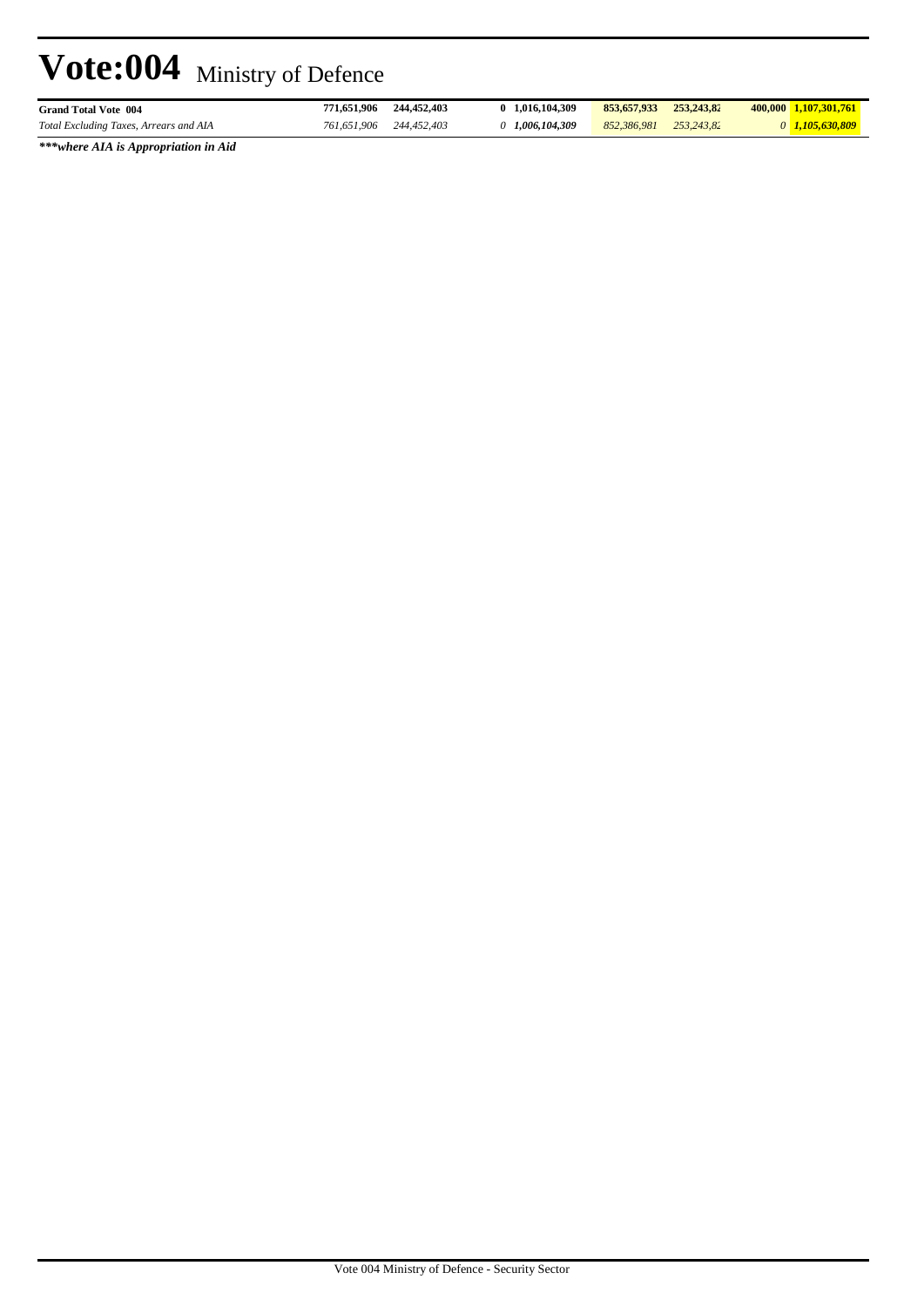| <b>Grand Total Vote 004</b>            | 771.651.906 | 244,452,403 | 1.016.104.309 | 853,657,933 | 253.243.82 | 400.000 1.107.301.761 |  |
|----------------------------------------|-------------|-------------|---------------|-------------|------------|-----------------------|--|
| Total Excluding Taxes, Arrears and AIA | 761.651.906 | 244,452,403 | 1.006.104.309 | 852,386,981 | 253.243.82 | $0$ 1,105,630,809     |  |
|                                        |             |             |               |             |            |                       |  |

*\*\*\*where AIA is Appropriation in Aid*